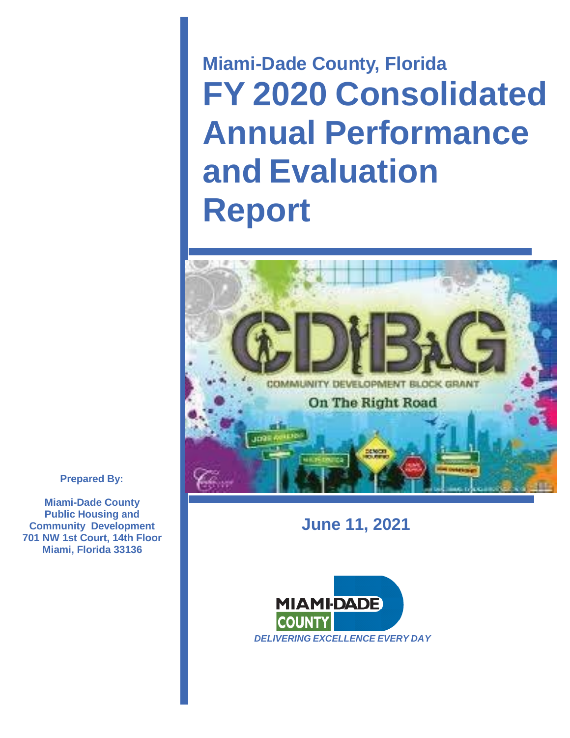**Miami-Dade County, Florida FY 2020 Consolidated Annual Performance and Evaluation Report**



# **June 11, 2021**



**Prepared By:**

**Miami-Dade County Public Housing and Community Development 701 NW 1st Court, 14th Floor Miami, Florida 33136**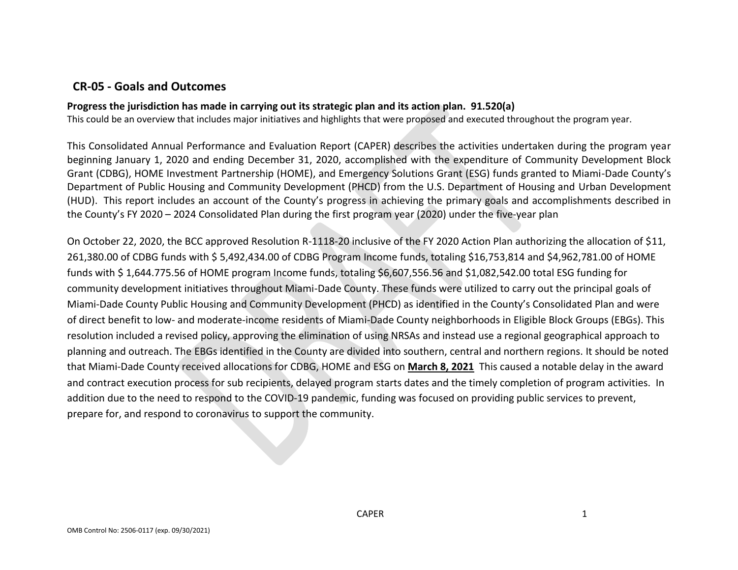# **CR-05 - Goals and Outcomes**

## **Progress the jurisdiction has made in carrying out its strategic plan and its action plan. 91.520(a)**

This could be an overview that includes major initiatives and highlights that were proposed and executed throughout the program year.

This Consolidated Annual Performance and Evaluation Report (CAPER) describes the activities undertaken during the program year beginning January 1, 2020 and ending December 31, 2020, accomplished with the expenditure of Community Development Block Grant (CDBG), HOME Investment Partnership (HOME), and Emergency Solutions Grant (ESG) funds granted to Miami-Dade County's Department of Public Housing and Community Development (PHCD) from the U.S. Department of Housing and Urban Development (HUD). This report includes an account of the County's progress in achieving the primary goals and accomplishments described in the County's FY 2020 – 2024 Consolidated Plan during the first program year (2020) under the five-year plan

On October 22, 2020, the BCC approved Resolution R-1118-20 inclusive of the FY 2020 Action Plan authorizing the allocation of \$11, 261,380.00 of CDBG funds with \$ 5,492,434.00 of CDBG Program Income funds, totaling \$16,753,814 and \$4,962,781.00 of HOME funds with \$ 1,644.775.56 of HOME program Income funds, totaling \$6,607,556.56 and \$1,082,542.00 total ESG funding for community development initiatives throughout Miami-Dade County. These funds were utilized to carry out the principal goals of Miami-Dade County Public Housing and Community Development (PHCD) as identified in the County's Consolidated Plan and were of direct benefit to low- and moderate-income residents of Miami-Dade County neighborhoods in Eligible Block Groups (EBGs). This resolution included a revised policy, approving the elimination of using NRSAs and instead use a regional geographical approach to planning and outreach. The EBGs identified in the County are divided into southern, central and northern regions. It should be noted that Miami-Dade County received allocations for CDBG, HOME and ESG on **March 8, 2021** This caused a notable delay in the award and contract execution process for sub recipients, delayed program starts dates and the timely completion of program activities. In addition due to the need to respond to the COVID-19 pandemic, funding was focused on providing public services to prevent, prepare for, and respond to coronavirus to support the community.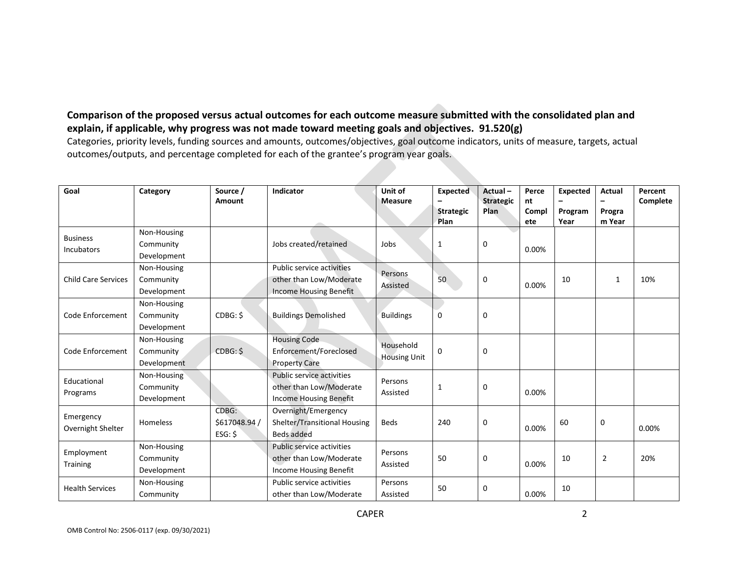## **Comparison of the proposed versus actual outcomes for each outcome measure submitted with the consolidated plan and explain, if applicable, why progress was not made toward meeting goals and objectives. 91.520(g)**

Categories, priority levels, funding sources and amounts, outcomes/objectives, goal outcome indicators, units of measure, targets, actual outcomes/outputs, and percentage completed for each of the grantee's program year goals.

| Goal                           | Category                                | Source /<br>Amount                  | Indicator                                                                             | Unit of<br>Measure               | <b>Expected</b>          | Actual-<br><b>Strategic</b> | Perce<br>nt  | <b>Expected</b> | <b>Actual</b>    | Percent<br>Complete |
|--------------------------------|-----------------------------------------|-------------------------------------|---------------------------------------------------------------------------------------|----------------------------------|--------------------------|-----------------------------|--------------|-----------------|------------------|---------------------|
|                                |                                         |                                     |                                                                                       |                                  | <b>Strategic</b><br>Plan | Plan                        | Compl<br>ete | Program<br>Year | Progra<br>m Year |                     |
| <b>Business</b><br>Incubators  | Non-Housing<br>Community<br>Development |                                     | Jobs created/retained                                                                 | Jobs                             | 1                        | 0                           | 0.00%        |                 |                  |                     |
| <b>Child Care Services</b>     | Non-Housing<br>Community<br>Development |                                     | Public service activities<br>other than Low/Moderate<br>Income Housing Benefit        | Persons<br>Assisted              | 50                       | 0                           | 0.00%        | 10              | 1                | 10%                 |
| Code Enforcement               | Non-Housing<br>Community<br>Development | CDBG: \$                            | <b>Buildings Demolished</b>                                                           | <b>Buildings</b>                 | $\mathbf 0$              | $\mathbf 0$                 |              |                 |                  |                     |
| Code Enforcement               | Non-Housing<br>Community<br>Development | CDBG: \$                            | <b>Housing Code</b><br>Enforcement/Foreclosed<br><b>Property Care</b>                 | Household<br><b>Housing Unit</b> | $\mathbf 0$              | 0                           |              |                 |                  |                     |
| Educational<br>Programs        | Non-Housing<br>Community<br>Development |                                     | Public service activities<br>other than Low/Moderate<br><b>Income Housing Benefit</b> | Persons<br>Assisted              | 1                        | $\mathbf 0$                 | 0.00%        |                 |                  |                     |
| Emergency<br>Overnight Shelter | Homeless                                | CDBG:<br>\$617048.94 /<br>$ESG:$ \$ | Overnight/Emergency<br>Shelter/Transitional Housing<br>Beds added                     | <b>Beds</b>                      | 240                      | 0                           | 0.00%        | 60              | 0                | 0.00%               |
| Employment<br>Training         | Non-Housing<br>Community<br>Development |                                     | Public service activities<br>other than Low/Moderate<br><b>Income Housing Benefit</b> | Persons<br>Assisted              | 50                       | $\mathbf 0$                 | 0.00%        | 10              | $\overline{2}$   | 20%                 |
| <b>Health Services</b>         | Non-Housing<br>Community                |                                     | Public service activities<br>other than Low/Moderate                                  | Persons<br>Assisted              | 50                       | $\mathbf 0$                 | 0.00%        | 10              |                  |                     |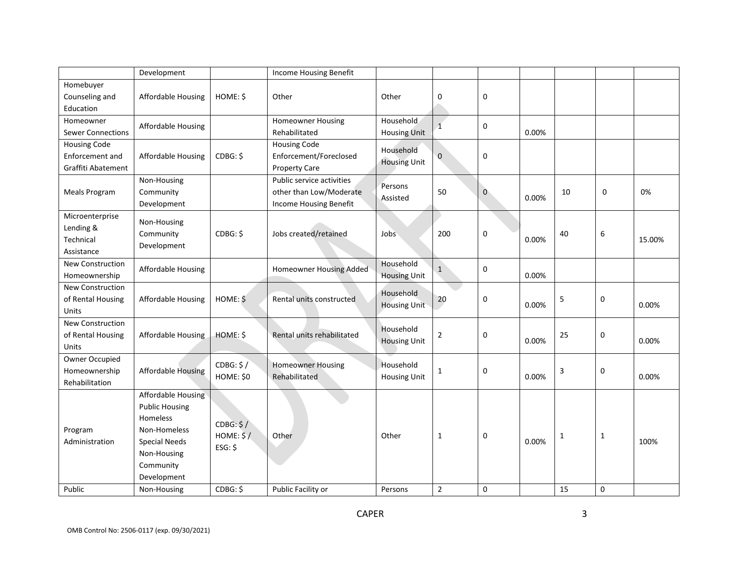|                           | Development                                        |            | Income Housing Benefit                               |                     |                |             |       |    |             |        |
|---------------------------|----------------------------------------------------|------------|------------------------------------------------------|---------------------|----------------|-------------|-------|----|-------------|--------|
| Homebuyer                 |                                                    |            |                                                      |                     |                |             |       |    |             |        |
| Counseling and            | Affordable Housing                                 | HOME: \$   | Other                                                | Other               | 0              | $\mathbf 0$ |       |    |             |        |
| Education<br>Homeowner    |                                                    |            | <b>Homeowner Housing</b>                             | <b>Household</b>    |                |             |       |    |             |        |
| <b>Sewer Connections</b>  | Affordable Housing                                 |            | Rehabilitated                                        | <b>Housing Unit</b> | $\mathbf{1}$   | 0           | 0.00% |    |             |        |
| <b>Housing Code</b>       |                                                    |            | <b>Housing Code</b>                                  | Household           |                |             |       |    |             |        |
| <b>Enforcement and</b>    | Affordable Housing                                 | CDBG: \$   | Enforcement/Foreclosed                               | <b>Housing Unit</b> | $\mathbf{0}$   | 0           |       |    |             |        |
| Graffiti Abatement        |                                                    |            | <b>Property Care</b>                                 |                     |                |             |       |    |             |        |
| Meals Program             | Non-Housing<br>Community                           |            | Public service activities<br>other than Low/Moderate | Persons<br>Assisted | 50             | $\mathbf 0$ | 0.00% | 10 | 0           | 0%     |
|                           | Development                                        |            | Income Housing Benefit                               |                     |                |             |       |    |             |        |
| Microenterprise           | Non-Housing                                        |            |                                                      |                     |                |             |       |    |             |        |
| Lending &<br>Technical    | Community                                          | CDBG: \$   | Jobs created/retained                                | Jobs                | 200            | 0           | 0.00% | 40 | 6           | 15.00% |
| Assistance                | Development                                        |            |                                                      |                     |                |             |       |    |             |        |
| New Construction          |                                                    |            |                                                      | Household           |                |             |       |    |             |        |
| Homeownership             | Affordable Housing                                 |            | Homeowner Housing Added                              | <b>Housing Unit</b> | $\mathbf{1}$   | 0           | 0.00% |    |             |        |
| New Construction          |                                                    |            |                                                      | Household           |                |             |       |    |             |        |
| of Rental Housing         | Affordable Housing                                 | $HOME:$ \$ | Rental units constructed                             | <b>Housing Unit</b> | 20             | 0           | 0.00% | 5  | 0           | 0.00%  |
| Units<br>New Construction |                                                    |            |                                                      |                     |                |             |       |    |             |        |
| of Rental Housing         | Affordable Housing                                 | HOME: \$   | Rental units rehabilitated                           | Household           | $\overline{2}$ | $\mathbf 0$ |       | 25 | 0           |        |
| Units                     |                                                    |            |                                                      | <b>Housing Unit</b> |                |             | 0.00% |    |             | 0.00%  |
| Owner Occupied            |                                                    | CDBG: \$/  | <b>Homeowner Housing</b>                             | Household           |                |             |       |    |             |        |
| Homeownership             | <b>Affordable Housing</b>                          | HOME: \$0  | Rehabilitated                                        | <b>Housing Unit</b> | 1              | $\mathbf 0$ | 0.00% | 3  | 0           | 0.00%  |
| Rehabilitation            |                                                    |            |                                                      |                     |                |             |       |    |             |        |
|                           | <b>Affordable Housing</b><br><b>Public Housing</b> |            |                                                      |                     |                |             |       |    |             |        |
|                           | Homeless                                           |            |                                                      |                     |                |             |       |    |             |        |
| Program                   | Non-Homeless                                       | CDBG: \$/  |                                                      |                     |                |             |       |    |             |        |
| Administration            | <b>Special Needs</b>                               | HOME: \$/  | Other                                                | Other               | 1              | $\mathbf 0$ | 0.00% | 1  | 1           | 100%   |
|                           | Non-Housing                                        | $ESG:$ \$  |                                                      |                     |                |             |       |    |             |        |
|                           | Community                                          |            |                                                      |                     |                |             |       |    |             |        |
|                           | Development                                        |            |                                                      |                     |                |             |       |    |             |        |
| Public                    | Non-Housing                                        | CDBG: \$   | Public Facility or                                   | Persons             | $\overline{2}$ | $\mathbf 0$ |       | 15 | $\mathbf 0$ |        |

3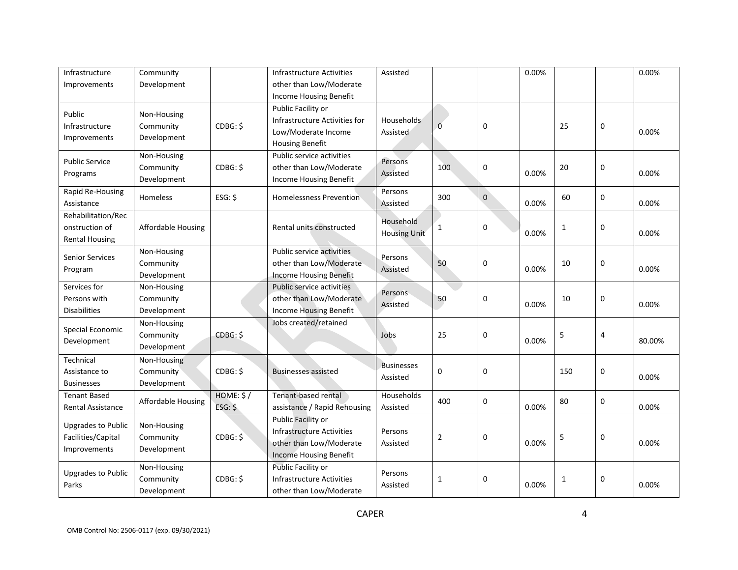| Infrastructure                     | Community                 |           | <b>Infrastructure Activities</b> | Assisted          |                |             | 0.00% |       |   | 0.00%  |
|------------------------------------|---------------------------|-----------|----------------------------------|-------------------|----------------|-------------|-------|-------|---|--------|
| Improvements                       | Development               |           | other than Low/Moderate          |                   |                |             |       |       |   |        |
|                                    |                           |           | Income Housing Benefit           |                   |                |             |       |       |   |        |
| Public                             | Non-Housing               |           | Public Facility or               |                   |                |             |       |       |   |        |
| Infrastructure                     | Community                 | CDBG: \$  | Infrastructure Activities for    | Households        | $\Omega$       | $\mathbf 0$ |       | 25    | 0 |        |
| Improvements                       | Development               |           | Low/Moderate Income              | Assisted          |                |             |       |       |   | 0.00%  |
|                                    |                           |           | <b>Housing Benefit</b>           |                   |                |             |       |       |   |        |
| <b>Public Service</b>              | Non-Housing               |           | Public service activities        | Persons           |                |             |       |       |   |        |
| Programs                           | Community                 | CDBG: \$  | other than Low/Moderate          | Assisted          | 100            | $\pmb{0}$   | 0.00% | 20    | 0 | 0.00%  |
|                                    | Development               |           | Income Housing Benefit           |                   |                |             |       |       |   |        |
| Rapid Re-Housing                   | <b>Homeless</b>           | $ESG:$ \$ | <b>Homelessness Prevention</b>   | Persons           | 300            | $\pmb{0}$   | 0.00% | 60    | 0 | 0.00%  |
| Assistance<br>Rehabilitation/Rec   |                           |           |                                  | Assisted          |                |             |       |       |   |        |
| onstruction of                     | <b>Affordable Housing</b> |           | Rental units constructed         | Household         | $\mathbf{1}$   | $\pmb{0}$   |       |       | 0 |        |
| <b>Rental Housing</b>              | <b>Housing Unit</b>       |           |                                  |                   | 1<br>0.00%     |             |       | 0.00% |   |        |
|                                    | Non-Housing               |           | Public service activities        |                   |                |             |       |       |   |        |
| <b>Senior Services</b>             | Community                 |           | other than Low/Moderate          | Persons           | 50             | 0           |       | 10    | 0 |        |
| Program<br>Development             |                           |           | <b>Income Housing Benefit</b>    | Assisted          |                |             | 0.00% |       |   | 0.00%  |
| Services for                       | Non-Housing               |           | Public service activities        |                   |                |             |       |       |   |        |
| Persons with                       | Community                 |           | other than Low/Moderate          | Persons           | 50             | 0           |       | 10    | 0 |        |
| <b>Disabilities</b>                | Development               |           | Income Housing Benefit           | Assisted          |                |             | 0.00% |       |   | 0.00%  |
|                                    | Non-Housing               |           | Jobs created/retained            |                   |                |             |       |       |   |        |
| Special Economic                   | Community                 | CDBG: \$  |                                  | Jobs              | 25             | 0           |       | 5     | 4 |        |
| Development                        | Development               |           |                                  |                   |                |             | 0.00% |       |   | 80.00% |
| Technical                          | Non-Housing               |           |                                  |                   |                |             |       |       |   |        |
| Assistance to                      | Community                 | CDBG: \$  | <b>Businesses assisted</b>       | <b>Businesses</b> | 0              | $\mathbf 0$ |       | 150   | 0 |        |
| <b>Businesses</b>                  | Development               |           |                                  | Assisted          |                |             |       |       |   | 0.00%  |
| <b>Tenant Based</b>                |                           | HOME: \$/ | Tenant-based rental              | Households        |                |             |       |       |   |        |
| <b>Rental Assistance</b>           | Affordable Housing        | ESG:      | assistance / Rapid Rehousing     | Assisted          | 400            | $\mathbf 0$ | 0.00% | 80    | 0 | 0.00%  |
|                                    |                           |           | Public Facility or               |                   |                |             |       |       |   |        |
| <b>Upgrades to Public</b>          | Non-Housing               |           | <b>Infrastructure Activities</b> | Persons           |                |             |       |       |   |        |
| Facilities/Capital                 | Community                 | CDBG: \$  | other than Low/Moderate          | Assisted          | $\overline{2}$ | $\pmb{0}$   | 0.00% | 5     | 0 | 0.00%  |
| Improvements                       | Development               |           | <b>Income Housing Benefit</b>    |                   |                |             |       |       |   |        |
|                                    | Non-Housing               |           | Public Facility or               |                   |                |             |       |       |   |        |
| <b>Upgrades to Public</b><br>Parks | Community                 | CDBG: \$  | Infrastructure Activities        | Persons           | 1              | 0           | 0.00% | 1     | 0 | 0.00%  |
|                                    | Development               |           | other than Low/Moderate          | Assisted          |                |             |       |       |   |        |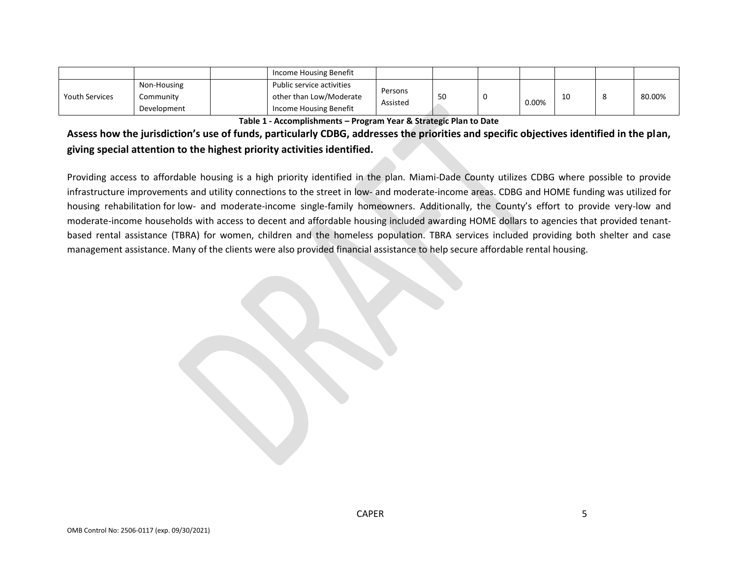|                       |             | Income Housing Benefit    |          |    |       |  |        |
|-----------------------|-------------|---------------------------|----------|----|-------|--|--------|
| <b>Youth Services</b> | Non-Housing | Public service activities | Persons  |    |       |  |        |
|                       | Communitv   | other than Low/Moderate   | Assisted | 50 |       |  | 80.00% |
|                       | Development | Income Housing Benefit    |          |    | 0.00% |  |        |

**Table 1 - Accomplishments – Program Year & Strategic Plan to Date**

**Assess how the jurisdiction's use of funds, particularly CDBG, addresses the priorities and specific objectives identified in the plan, giving special attention to the highest priority activities identified.**

Providing access to affordable housing is a high priority identified in the plan. Miami-Dade County utilizes CDBG where possible to provide infrastructure improvements and utility connections to the street in low- and moderate-income areas. CDBG and HOME funding was utilized for housing rehabilitation for low- and moderate-income single-family homeowners. Additionally, the County's effort to provide very-low and moderate-income households with access to decent and affordable housing included awarding HOME dollars to agencies that provided tenantbased rental assistance (TBRA) for women, children and the homeless population. TBRA services included providing both shelter and case management assistance. Many of the clients were also provided financial assistance to help secure affordable rental housing.

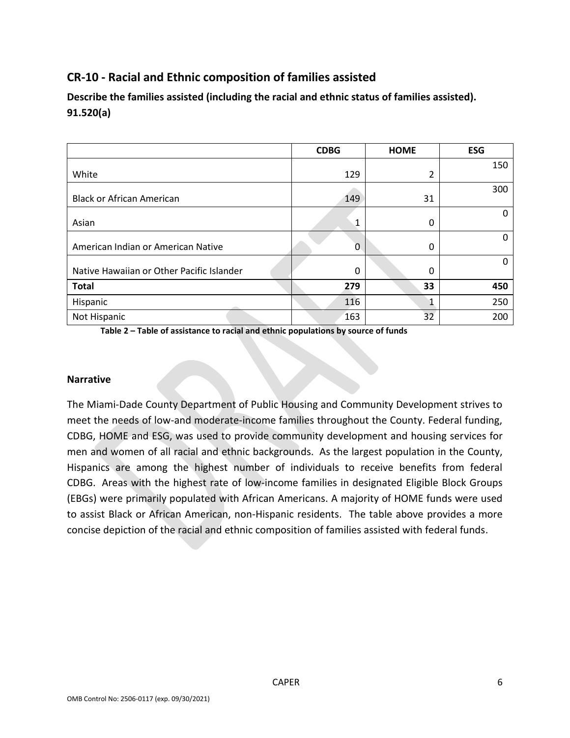# **CR-10 - Racial and Ethnic composition of families assisted**

**Describe the families assisted (including the racial and ethnic status of families assisted). 91.520(a)** 

|                                           | <b>CDBG</b> | <b>HOME</b> | <b>ESG</b>   |
|-------------------------------------------|-------------|-------------|--------------|
| White                                     | 129         | 2           | 150          |
| <b>Black or African American</b>          | 149         | 31          | 300          |
| Asian                                     | 1           | 0           | $\Omega$     |
| American Indian or American Native        | 0           | 0           | 0            |
| Native Hawaiian or Other Pacific Islander | 0           | 0           | <sup>n</sup> |
| <b>Total</b>                              | 279         | 33          | 450          |
| Hispanic                                  | 116         |             | 250          |
| Not Hispanic                              | 163         | 32          | 200          |

**Table 2 – Table of assistance to racial and ethnic populations by source of funds**

### **Narrative**

The Miami-Dade County Department of Public Housing and Community Development strives to meet the needs of low-and moderate-income families throughout the County. Federal funding, CDBG, HOME and ESG, was used to provide community development and housing services for men and women of all racial and ethnic backgrounds. As the largest population in the County, Hispanics are among the highest number of individuals to receive benefits from federal CDBG. Areas with the highest rate of low-income families in designated Eligible Block Groups (EBGs) were primarily populated with African Americans. A majority of HOME funds were used to assist Black or African American, non-Hispanic residents. The table above provides a more concise depiction of the racial and ethnic composition of families assisted with federal funds.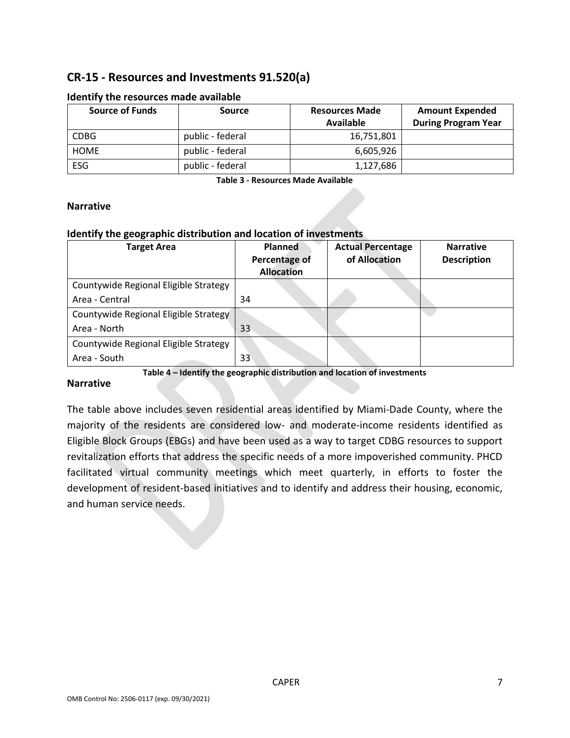# **CR-15 - Resources and Investments 91.520(a)**

| <b>Source of Funds</b> | <b>Source</b>    | <b>Resources Made</b> | <b>Amount Expended</b>     |
|------------------------|------------------|-----------------------|----------------------------|
|                        |                  | Available             | <b>During Program Year</b> |
| <b>CDBG</b>            | public - federal | 16,751,801            |                            |
| <b>HOME</b>            | public - federal | 6,605,926             |                            |
| ESG                    | public - federal | 1,127,686             |                            |

### **Identify the resources made available**

**Table 3 - Resources Made Available**

### **Narrative**

### **Identify the geographic distribution and location of investments**

| <b>Target Area</b>                    | <b>Planned</b><br>Percentage of<br><b>Allocation</b> | <b>Actual Percentage</b><br>of Allocation | <b>Narrative</b><br><b>Description</b> |
|---------------------------------------|------------------------------------------------------|-------------------------------------------|----------------------------------------|
| Countywide Regional Eligible Strategy |                                                      |                                           |                                        |
| Area - Central                        | 34                                                   |                                           |                                        |
| Countywide Regional Eligible Strategy |                                                      |                                           |                                        |
| Area - North                          | 33                                                   |                                           |                                        |
| Countywide Regional Eligible Strategy |                                                      |                                           |                                        |
| Area - South                          | 33                                                   |                                           |                                        |

**Table 4 – Identify the geographic distribution and location of investments**

### **Narrative**

The table above includes seven residential areas identified by Miami-Dade County, where the majority of the residents are considered low- and moderate-income residents identified as Eligible Block Groups (EBGs) and have been used as a way to target CDBG resources to support revitalization efforts that address the specific needs of a more impoverished community. PHCD facilitated virtual community meetings which meet quarterly, in efforts to foster the development of resident-based initiatives and to identify and address their housing, economic, and human service needs.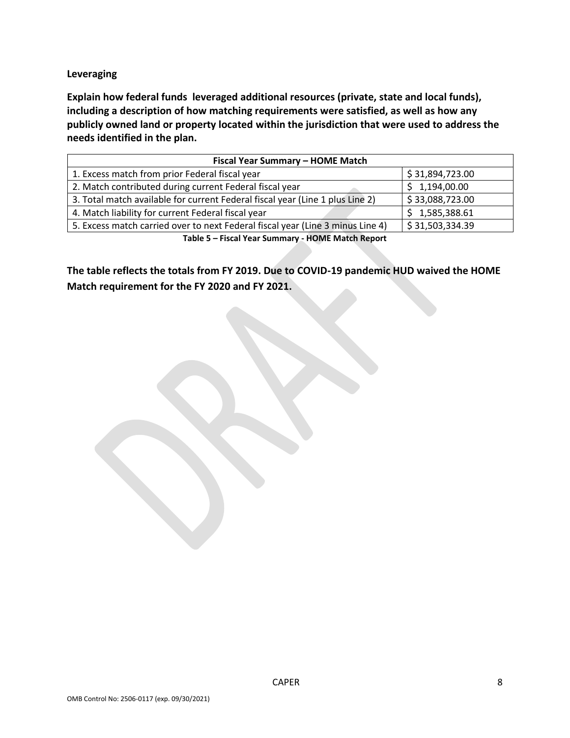### **Leveraging**

**Explain how federal funds leveraged additional resources (private, state and local funds), including a description of how matching requirements were satisfied, as well as how any publicly owned land or property located within the jurisdiction that were used to address the needs identified in the plan.**

| Fiscal Year Summary - HOME Match                                               |                 |  |  |  |  |  |  |
|--------------------------------------------------------------------------------|-----------------|--|--|--|--|--|--|
| 1. Excess match from prior Federal fiscal year                                 | \$31,894,723.00 |  |  |  |  |  |  |
| 2. Match contributed during current Federal fiscal year                        | \$1,194,00.00   |  |  |  |  |  |  |
| 3. Total match available for current Federal fiscal year (Line 1 plus Line 2)  | \$33,088,723.00 |  |  |  |  |  |  |
| 4. Match liability for current Federal fiscal year                             | \$1,585,388.61  |  |  |  |  |  |  |
| 5. Excess match carried over to next Federal fiscal year (Line 3 minus Line 4) | \$31,503,334.39 |  |  |  |  |  |  |
| Table F. Flood Mass Common and HOME Market Barrout                             |                 |  |  |  |  |  |  |

**Table 5 – Fiscal Year Summary - HOME Match Report**

**The table reflects the totals from FY 2019. Due to COVID-19 pandemic HUD waived the HOME Match requirement for the FY 2020 and FY 2021.**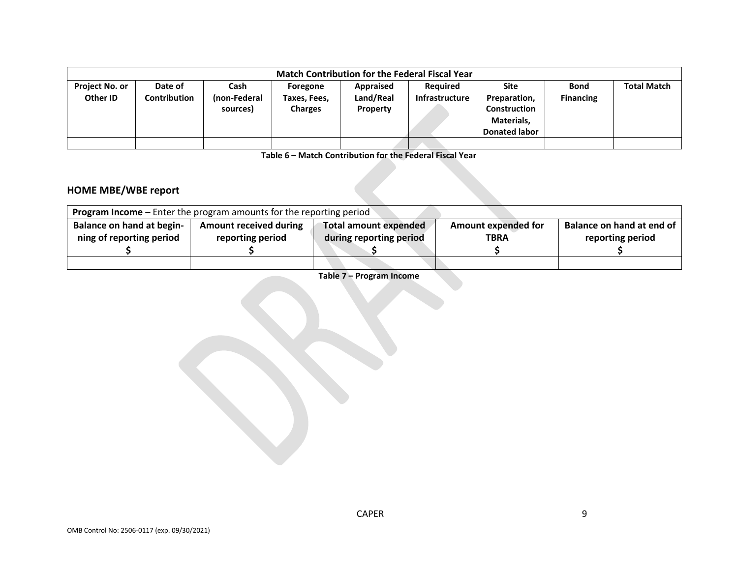| <b>Match Contribution for the Federal Fiscal Year</b> |              |              |                |           |                       |                      |                  |                    |  |
|-------------------------------------------------------|--------------|--------------|----------------|-----------|-----------------------|----------------------|------------------|--------------------|--|
| <b>Project No. or</b>                                 | Date of      | Cash         | Foregone       | Appraised | <b>Required</b>       | Site                 | <b>Bond</b>      | <b>Total Match</b> |  |
| Other ID                                              | Contribution | (non-Federal | Taxes, Fees,   | Land/Real | <b>Infrastructure</b> | Preparation,         | <b>Financing</b> |                    |  |
|                                                       |              | sources)     | <b>Charges</b> | Property  |                       | <b>Construction</b>  |                  |                    |  |
|                                                       |              |              |                |           |                       | Materials,           |                  |                    |  |
|                                                       |              |              |                |           |                       | <b>Donated labor</b> |                  |                    |  |
|                                                       |              |              |                |           |                       |                      |                  |                    |  |

**Table 6 – Match Contribution for the Federal Fiscal Year**

# **HOME MBE/WBE report**

| <b>Program Income</b> – Enter the program amounts for the reporting period |                               |                         |                            |                           |  |  |  |
|----------------------------------------------------------------------------|-------------------------------|-------------------------|----------------------------|---------------------------|--|--|--|
| <b>Balance on hand at begin-</b>                                           | <b>Amount received during</b> | Total amount expended   | <b>Amount expended for</b> | Balance on hand at end of |  |  |  |
| ning of reporting period                                                   | reporting period              | during reporting period | <b>TBRA</b>                | reporting period          |  |  |  |
|                                                                            |                               |                         |                            |                           |  |  |  |
|                                                                            |                               |                         |                            |                           |  |  |  |

**Table 7 – Program Income**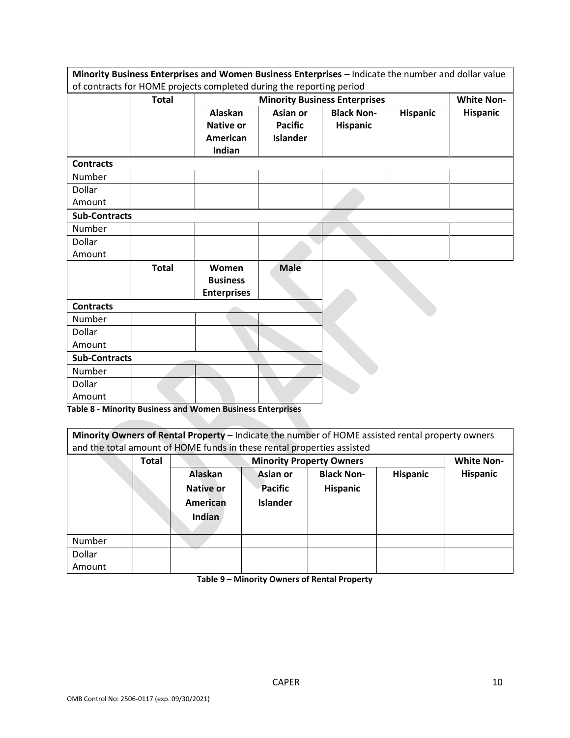|                      |                                                                      | Minority Business Enterprises and Women Business Enterprises - Indicate the number and dollar value |                 |                                      |                 |                   |  |  |
|----------------------|----------------------------------------------------------------------|-----------------------------------------------------------------------------------------------------|-----------------|--------------------------------------|-----------------|-------------------|--|--|
|                      | of contracts for HOME projects completed during the reporting period |                                                                                                     |                 |                                      |                 |                   |  |  |
|                      | <b>Total</b>                                                         |                                                                                                     |                 | <b>Minority Business Enterprises</b> |                 | <b>White Non-</b> |  |  |
|                      |                                                                      | Alaskan                                                                                             | Asian or        | <b>Black Non-</b>                    | <b>Hispanic</b> | <b>Hispanic</b>   |  |  |
|                      |                                                                      | <b>Native or</b>                                                                                    | <b>Pacific</b>  | Hispanic                             |                 |                   |  |  |
|                      |                                                                      | American                                                                                            | <b>Islander</b> |                                      |                 |                   |  |  |
|                      |                                                                      | Indian                                                                                              |                 |                                      |                 |                   |  |  |
| <b>Contracts</b>     |                                                                      |                                                                                                     |                 |                                      |                 |                   |  |  |
| Number               |                                                                      |                                                                                                     |                 |                                      |                 |                   |  |  |
| Dollar               |                                                                      |                                                                                                     |                 |                                      |                 |                   |  |  |
| Amount               |                                                                      |                                                                                                     |                 |                                      |                 |                   |  |  |
| <b>Sub-Contracts</b> |                                                                      |                                                                                                     |                 |                                      |                 |                   |  |  |
| Number               |                                                                      |                                                                                                     |                 |                                      |                 |                   |  |  |
| <b>Dollar</b>        |                                                                      |                                                                                                     |                 |                                      |                 |                   |  |  |
| Amount               |                                                                      |                                                                                                     |                 |                                      |                 |                   |  |  |
|                      | <b>Total</b>                                                         | Women                                                                                               | <b>Male</b>     |                                      |                 |                   |  |  |
|                      |                                                                      | <b>Business</b>                                                                                     |                 |                                      |                 |                   |  |  |
|                      |                                                                      | <b>Enterprises</b>                                                                                  |                 |                                      |                 |                   |  |  |
| <b>Contracts</b>     |                                                                      |                                                                                                     |                 |                                      |                 |                   |  |  |
| Number               |                                                                      |                                                                                                     |                 |                                      |                 |                   |  |  |
| <b>Dollar</b>        |                                                                      |                                                                                                     |                 |                                      |                 |                   |  |  |
| Amount               |                                                                      |                                                                                                     |                 |                                      |                 |                   |  |  |
| <b>Sub-Contracts</b> |                                                                      |                                                                                                     |                 |                                      |                 |                   |  |  |
| Number               |                                                                      |                                                                                                     |                 |                                      |                 |                   |  |  |
| Dollar               |                                                                      |                                                                                                     |                 |                                      |                 |                   |  |  |
| Amount               |                                                                      | .<br>$\mathbf{r}$ . The set of $\mathbf{r}$                                                         | $\sim$          |                                      |                 |                   |  |  |

**Table 8 - Minority Business and Women Business Enterprises**

| Minority Owners of Rental Property - Indicate the number of HOME assisted rental property owners |  |
|--------------------------------------------------------------------------------------------------|--|
| and the total amount of HOME funds in these rental properties assisted                           |  |

|        | <b>Total</b> |                                                   | <b>Minority Property Owners</b>                      |                               |                 |          |
|--------|--------------|---------------------------------------------------|------------------------------------------------------|-------------------------------|-----------------|----------|
|        |              | Alaskan<br><b>Native or</b><br>American<br>Indian | <b>Asian or</b><br><b>Pacific</b><br><b>Islander</b> | <b>Black Non-</b><br>Hispanic | <b>Hispanic</b> | Hispanic |
| Number |              |                                                   |                                                      |                               |                 |          |
| Dollar |              |                                                   |                                                      |                               |                 |          |
| Amount |              |                                                   |                                                      |                               |                 |          |

**Table 9 – Minority Owners of Rental Property**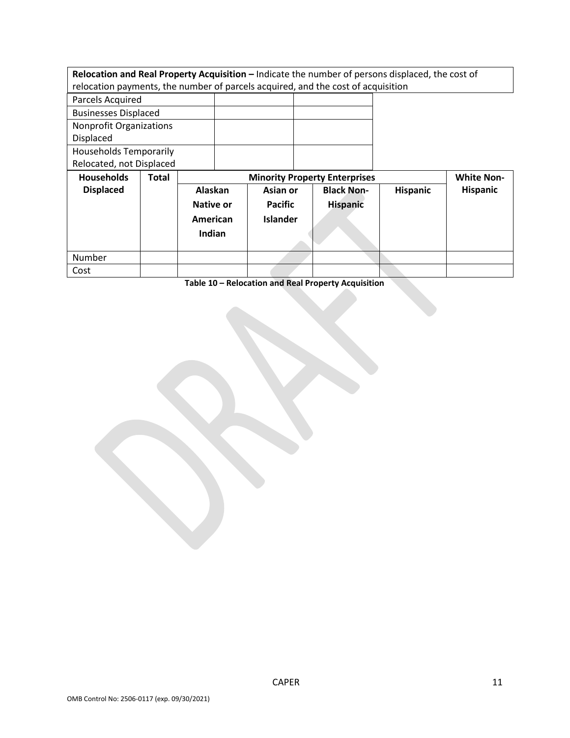| Relocation and Real Property Acquisition - Indicate the number of persons displaced, the cost of |       |                                                           |                                                                                  |                   |                 |                 |
|--------------------------------------------------------------------------------------------------|-------|-----------------------------------------------------------|----------------------------------------------------------------------------------|-------------------|-----------------|-----------------|
|                                                                                                  |       |                                                           | relocation payments, the number of parcels acquired, and the cost of acquisition |                   |                 |                 |
| Parcels Acquired                                                                                 |       |                                                           |                                                                                  |                   |                 |                 |
| <b>Businesses Displaced</b>                                                                      |       |                                                           |                                                                                  |                   |                 |                 |
| <b>Nonprofit Organizations</b><br>Displaced                                                      |       |                                                           |                                                                                  |                   |                 |                 |
| <b>Households Temporarily</b><br>Relocated, not Displaced                                        |       |                                                           |                                                                                  |                   |                 |                 |
|                                                                                                  |       | <b>White Non-</b><br><b>Minority Property Enterprises</b> |                                                                                  |                   |                 |                 |
| <b>Households</b>                                                                                | Total |                                                           |                                                                                  |                   |                 |                 |
| <b>Displaced</b>                                                                                 |       | Alaskan                                                   | Asian or                                                                         | <b>Black Non-</b> | <b>Hispanic</b> | <b>Hispanic</b> |
|                                                                                                  |       | Native or                                                 | <b>Pacific</b>                                                                   | <b>Hispanic</b>   |                 |                 |
|                                                                                                  |       | American                                                  | <b>Islander</b>                                                                  |                   |                 |                 |
|                                                                                                  |       | Indian                                                    |                                                                                  |                   |                 |                 |
|                                                                                                  |       |                                                           |                                                                                  |                   |                 |                 |
| Number                                                                                           |       |                                                           |                                                                                  |                   |                 |                 |

**Table 10 – Relocation and Real Property Acquisition**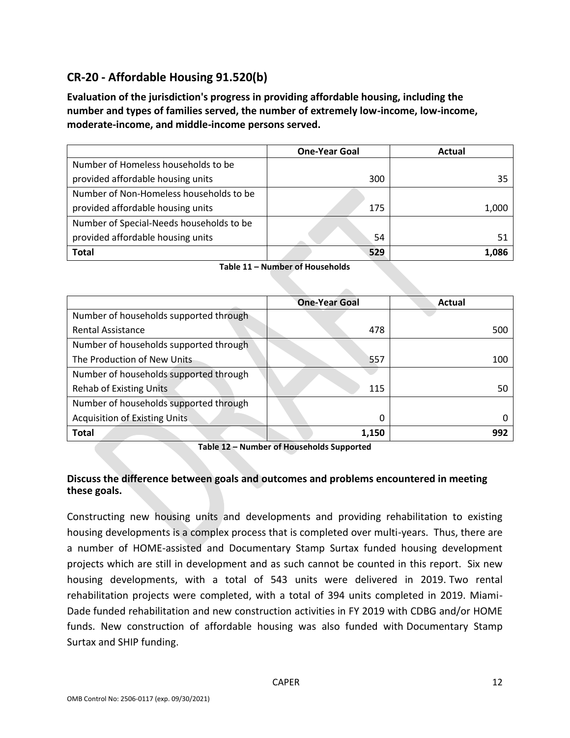# **CR-20 - Affordable Housing 91.520(b)**

**Evaluation of the jurisdiction's progress in providing affordable housing, including the number and types of families served, the number of extremely low-income, low-income, moderate-income, and middle-income persons served.**

|                                          | <b>One-Year Goal</b> | Actual |
|------------------------------------------|----------------------|--------|
| Number of Homeless households to be      |                      |        |
| provided affordable housing units        | 300                  | 35     |
| Number of Non-Homeless households to be  |                      |        |
| provided affordable housing units        | 175                  | 1,000  |
| Number of Special-Needs households to be |                      |        |
| provided affordable housing units        | 54                   | 51     |
| Total                                    | 529                  | 1,086  |

| Table 11 – Number of Households |  |
|---------------------------------|--|
|---------------------------------|--|

|                                        | <b>One-Year Goal</b> | Actual |
|----------------------------------------|----------------------|--------|
| Number of households supported through |                      |        |
| <b>Rental Assistance</b>               | 478                  | 500    |
| Number of households supported through |                      |        |
| The Production of New Units            | 557                  | 100    |
| Number of households supported through |                      |        |
| <b>Rehab of Existing Units</b>         | 115                  | 50     |
| Number of households supported through |                      |        |
| <b>Acquisition of Existing Units.</b>  | 0                    |        |
| <b>Total</b>                           | 1,150                | 992    |

**Table 12 – Number of Households Supported**

## **Discuss the difference between goals and outcomes and problems encountered in meeting these goals.**

Constructing new housing units and developments and providing rehabilitation to existing housing developments is a complex process that is completed over multi-years. Thus, there are a number of HOME-assisted and Documentary Stamp Surtax funded housing development projects which are still in development and as such cannot be counted in this report. Six new housing developments, with a total of 543 units were delivered in 2019. Two rental rehabilitation projects were completed, with a total of 394 units completed in 2019. Miami-Dade funded rehabilitation and new construction activities in FY 2019 with CDBG and/or HOME funds. New construction of affordable housing was also funded with Documentary Stamp Surtax and SHIP funding.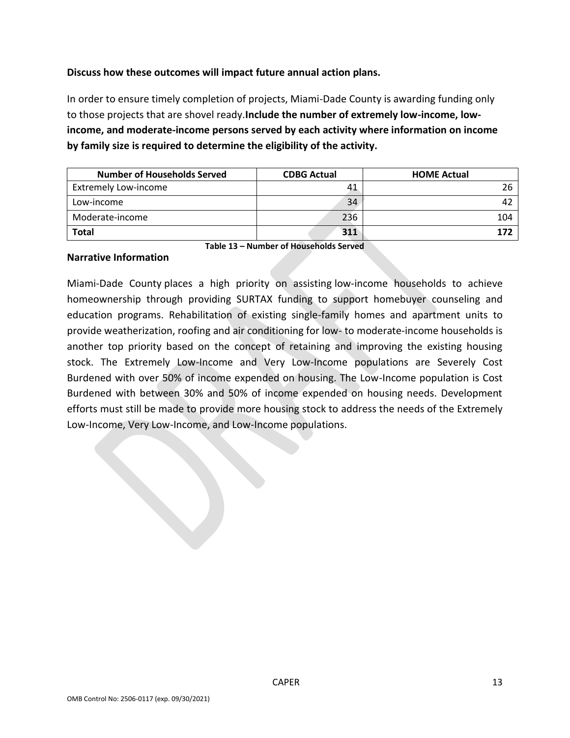## **Discuss how these outcomes will impact future annual action plans.**

In order to ensure timely completion of projects, Miami-Dade County is awarding funding only to those projects that are shovel ready.**Include the number of extremely low-income, lowincome, and moderate-income persons served by each activity where information on income by family size is required to determine the eligibility of the activity.**

| <b>Number of Households Served</b> | <b>CDBG Actual</b> | <b>HOME Actual</b> |
|------------------------------------|--------------------|--------------------|
| <b>Extremely Low-income</b>        | 41                 | 26                 |
| Low-income                         | 34                 |                    |
| Moderate-income                    | 236                | 104                |
| <b>Total</b>                       | 311                | 177                |

#### **Narrative Information**

**Table 13 – Number of Households Served**

Miami-Dade County places a high priority on assisting low-income households to achieve homeownership through providing SURTAX funding to support homebuyer counseling and education programs. Rehabilitation of existing single-family homes and apartment units to provide weatherization, roofing and air conditioning for low- to moderate-income households is another top priority based on the concept of retaining and improving the existing housing stock. The Extremely Low-Income and Very Low-Income populations are Severely Cost Burdened with over 50% of income expended on housing. The Low-Income population is Cost Burdened with between 30% and 50% of income expended on housing needs. Development efforts must still be made to provide more housing stock to address the needs of the Extremely Low-Income, Very Low-Income, and Low-Income populations.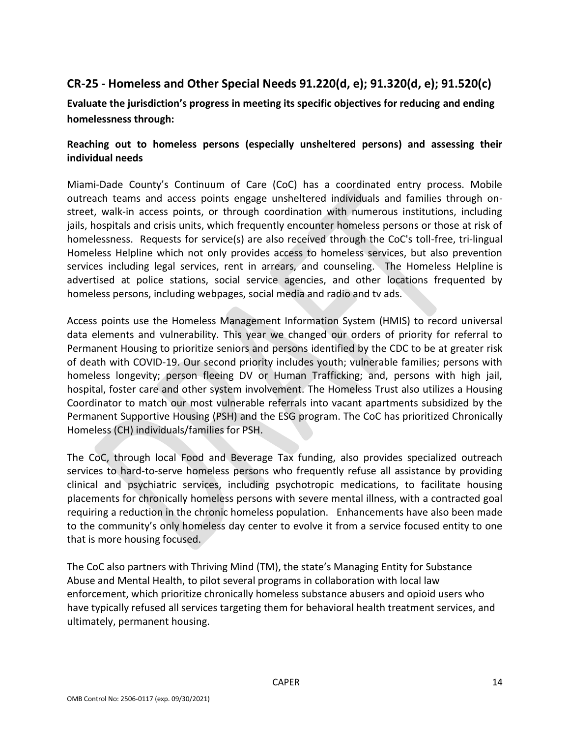# **CR-25 - Homeless and Other Special Needs 91.220(d, e); 91.320(d, e); 91.520(c)**

**Evaluate the jurisdiction's progress in meeting its specific objectives for reducing and ending homelessness through:**

## **Reaching out to homeless persons (especially unsheltered persons) and assessing their individual needs**

Miami-Dade County's Continuum of Care (CoC) has a coordinated entry process. Mobile outreach teams and access points engage unsheltered individuals and families through onstreet, walk-in access points, or through coordination with numerous institutions, including jails, hospitals and crisis units, which frequently encounter homeless persons or those at risk of homelessness. Requests for service(s) are also received through the CoC's toll-free, tri-lingual Homeless Helpline which not only provides access to homeless services, but also prevention services including legal services, rent in arrears, and counseling. The Homeless Helpline is advertised at police stations, social service agencies, and other locations frequented by homeless persons, including webpages, social media and radio and tv ads.

Access points use the Homeless Management Information System (HMIS) to record universal data elements and vulnerability. This year we changed our orders of priority for referral to Permanent Housing to prioritize seniors and persons identified by the CDC to be at greater risk of death with COVID-19. Our second priority includes youth; vulnerable families; persons with homeless longevity; person fleeing DV or Human Trafficking; and, persons with high jail, hospital, foster care and other system involvement. The Homeless Trust also utilizes a Housing Coordinator to match our most vulnerable referrals into vacant apartments subsidized by the Permanent Supportive Housing (PSH) and the ESG program. The CoC has prioritized Chronically Homeless (CH) individuals/families for PSH.

The CoC, through local Food and Beverage Tax funding, also provides specialized outreach services to hard-to-serve homeless persons who frequently refuse all assistance by providing clinical and psychiatric services, including psychotropic medications, to facilitate housing placements for chronically homeless persons with severe mental illness, with a contracted goal requiring a reduction in the chronic homeless population. Enhancements have also been made to the community's only homeless day center to evolve it from a service focused entity to one that is more housing focused.

The CoC also partners with Thriving Mind (TM), the state's Managing Entity for Substance Abuse and Mental Health, to pilot several programs in collaboration with local law enforcement, which prioritize chronically homeless substance abusers and opioid users who have typically refused all services targeting them for behavioral health treatment services, and ultimately, permanent housing.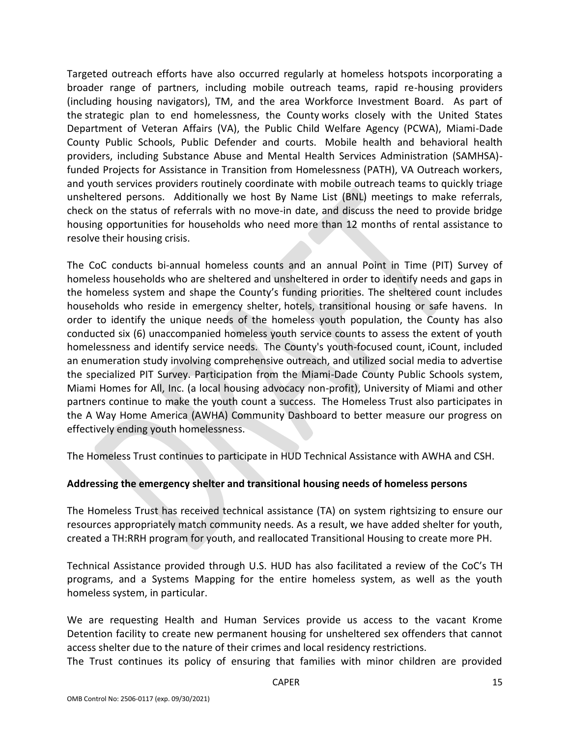Targeted outreach efforts have also occurred regularly at homeless hotspots incorporating a broader range of partners, including mobile outreach teams, rapid re-housing providers (including housing navigators), TM, and the area Workforce Investment Board. As part of the strategic plan to end homelessness, the County works closely with the United States Department of Veteran Affairs (VA), the Public Child Welfare Agency (PCWA), Miami-Dade County Public Schools, Public Defender and courts. Mobile health and behavioral health providers, including Substance Abuse and Mental Health Services Administration (SAMHSA) funded Projects for Assistance in Transition from Homelessness (PATH), VA Outreach workers, and youth services providers routinely coordinate with mobile outreach teams to quickly triage unsheltered persons. Additionally we host By Name List (BNL) meetings to make referrals, check on the status of referrals with no move-in date, and discuss the need to provide bridge housing opportunities for households who need more than 12 months of rental assistance to resolve their housing crisis.

The CoC conducts bi-annual homeless counts and an annual Point in Time (PIT) Survey of homeless households who are sheltered and unsheltered in order to identify needs and gaps in the homeless system and shape the County's funding priorities. The sheltered count includes households who reside in emergency shelter, hotels, transitional housing or safe havens. In order to identify the unique needs of the homeless youth population, the County has also conducted six (6) unaccompanied homeless youth service counts to assess the extent of youth homelessness and identify service needs. The County's youth-focused count, iCount, included an enumeration study involving comprehensive outreach, and utilized social media to advertise the specialized PIT Survey. Participation from the Miami-Dade County Public Schools system, Miami Homes for All, Inc. (a local housing advocacy non-profit), University of Miami and other partners continue to make the youth count a success. The Homeless Trust also participates in the A Way Home America (AWHA) Community Dashboard to better measure our progress on effectively ending youth homelessness.

The Homeless Trust continues to participate in HUD Technical Assistance with AWHA and CSH.

## **Addressing the emergency shelter and transitional housing needs of homeless persons**

The Homeless Trust has received technical assistance (TA) on system rightsizing to ensure our resources appropriately match community needs. As a result, we have added shelter for youth, created a TH:RRH program for youth, and reallocated Transitional Housing to create more PH.

Technical Assistance provided through U.S. HUD has also facilitated a review of the CoC's TH programs, and a Systems Mapping for the entire homeless system, as well as the youth homeless system, in particular.

We are requesting Health and Human Services provide us access to the vacant Krome Detention facility to create new permanent housing for unsheltered sex offenders that cannot access shelter due to the nature of their crimes and local residency restrictions.

The Trust continues its policy of ensuring that families with minor children are provided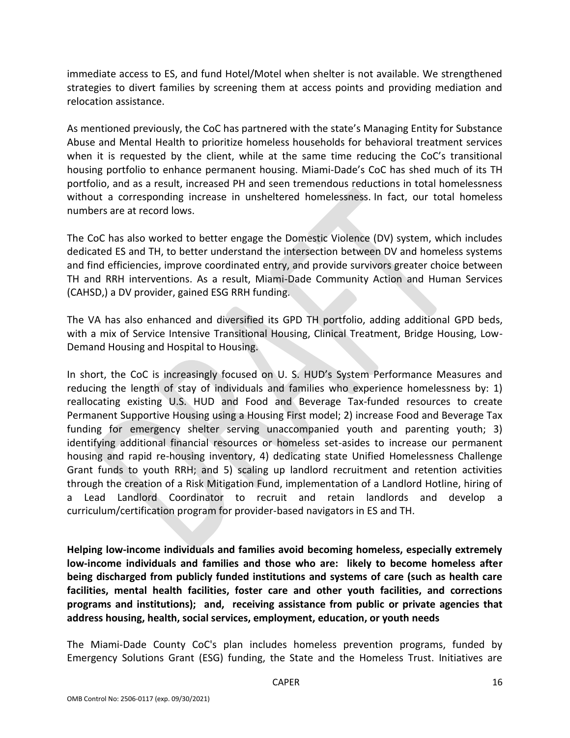immediate access to ES, and fund Hotel/Motel when shelter is not available. We strengthened strategies to divert families by screening them at access points and providing mediation and relocation assistance.

As mentioned previously, the CoC has partnered with the state's Managing Entity for Substance Abuse and Mental Health to prioritize homeless households for behavioral treatment services when it is requested by the client, while at the same time reducing the CoC's transitional housing portfolio to enhance permanent housing. Miami-Dade's CoC has shed much of its TH portfolio, and as a result, increased PH and seen tremendous reductions in total homelessness without a corresponding increase in unsheltered homelessness. In fact, our total homeless numbers are at record lows.

The CoC has also worked to better engage the Domestic Violence (DV) system, which includes dedicated ES and TH, to better understand the intersection between DV and homeless systems and find efficiencies, improve coordinated entry, and provide survivors greater choice between TH and RRH interventions. As a result, Miami-Dade Community Action and Human Services (CAHSD,) a DV provider, gained ESG RRH funding.

The VA has also enhanced and diversified its GPD TH portfolio, adding additional GPD beds, with a mix of Service Intensive Transitional Housing, Clinical Treatment, Bridge Housing, Low-Demand Housing and Hospital to Housing.

In short, the CoC is increasingly focused on U. S. HUD's System Performance Measures and reducing the length of stay of individuals and families who experience homelessness by: 1) reallocating existing U.S. HUD and Food and Beverage Tax-funded resources to create Permanent Supportive Housing using a Housing First model; 2) increase Food and Beverage Tax funding for emergency shelter serving unaccompanied youth and parenting youth; 3) identifying additional financial resources or homeless set-asides to increase our permanent housing and rapid re-housing inventory, 4) dedicating state Unified Homelessness Challenge Grant funds to youth RRH; and 5) scaling up landlord recruitment and retention activities through the creation of a Risk Mitigation Fund, implementation of a Landlord Hotline, hiring of a Lead Landlord Coordinator to recruit and retain landlords and develop a curriculum/certification program for provider-based navigators in ES and TH.

**Helping low-income individuals and families avoid becoming homeless, especially extremely low-income individuals and families and those who are: likely to become homeless after being discharged from publicly funded institutions and systems of care (such as health care facilities, mental health facilities, foster care and other youth facilities, and corrections programs and institutions); and, receiving assistance from public or private agencies that address housing, health, social services, employment, education, or youth needs**

The Miami-Dade County CoC's plan includes homeless prevention programs, funded by Emergency Solutions Grant (ESG) funding, the State and the Homeless Trust. Initiatives are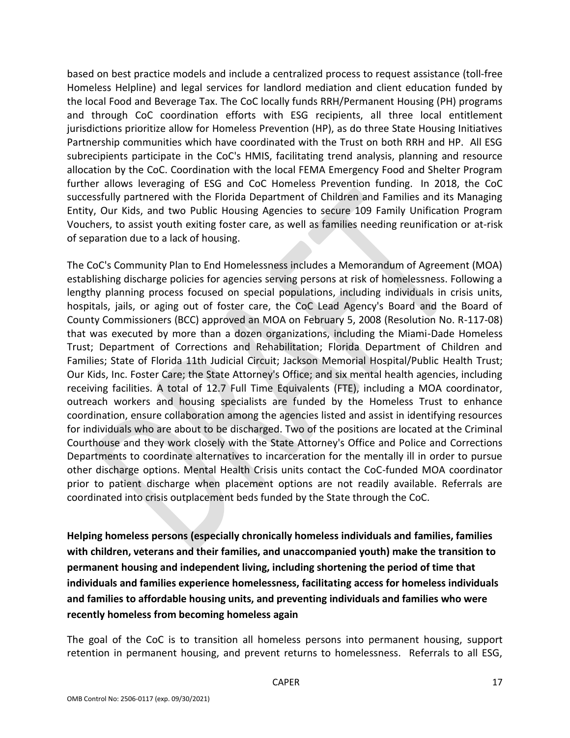based on best practice models and include a centralized process to request assistance (toll-free Homeless Helpline) and legal services for landlord mediation and client education funded by the local Food and Beverage Tax. The CoC locally funds RRH/Permanent Housing (PH) programs and through CoC coordination efforts with ESG recipients, all three local entitlement jurisdictions prioritize allow for Homeless Prevention (HP), as do three State Housing Initiatives Partnership communities which have coordinated with the Trust on both RRH and HP. All ESG subrecipients participate in the CoC's HMIS, facilitating trend analysis, planning and resource allocation by the CoC. Coordination with the local FEMA Emergency Food and Shelter Program further allows leveraging of ESG and CoC Homeless Prevention funding. In 2018, the CoC successfully partnered with the Florida Department of Children and Families and its Managing Entity, Our Kids, and two Public Housing Agencies to secure 109 Family Unification Program Vouchers, to assist youth exiting foster care, as well as families needing reunification or at-risk of separation due to a lack of housing.

The CoC's Community Plan to End Homelessness includes a Memorandum of Agreement (MOA) establishing discharge policies for agencies serving persons at risk of homelessness. Following a lengthy planning process focused on special populations, including individuals in crisis units, hospitals, jails, or aging out of foster care, the CoC Lead Agency's Board and the Board of County Commissioners (BCC) approved an MOA on February 5, 2008 (Resolution No. R-117-08) that was executed by more than a dozen organizations, including the Miami-Dade Homeless Trust; Department of Corrections and Rehabilitation; Florida Department of Children and Families; State of Florida 11th Judicial Circuit; Jackson Memorial Hospital/Public Health Trust; Our Kids, Inc. Foster Care; the State Attorney's Office; and six mental health agencies, including receiving facilities. A total of 12.7 Full Time Equivalents (FTE), including a MOA coordinator, outreach workers and housing specialists are funded by the Homeless Trust to enhance coordination, ensure collaboration among the agencies listed and assist in identifying resources for individuals who are about to be discharged. Two of the positions are located at the Criminal Courthouse and they work closely with the State Attorney's Office and Police and Corrections Departments to coordinate alternatives to incarceration for the mentally ill in order to pursue other discharge options. Mental Health Crisis units contact the CoC-funded MOA coordinator prior to patient discharge when placement options are not readily available. Referrals are coordinated into crisis outplacement beds funded by the State through the CoC.

**Helping homeless persons (especially chronically homeless individuals and families, families with children, veterans and their families, and unaccompanied youth) make the transition to permanent housing and independent living, including shortening the period of time that individuals and families experience homelessness, facilitating access for homeless individuals and families to affordable housing units, and preventing individuals and families who were recently homeless from becoming homeless again**

The goal of the CoC is to transition all homeless persons into permanent housing, support retention in permanent housing, and prevent returns to homelessness. Referrals to all ESG,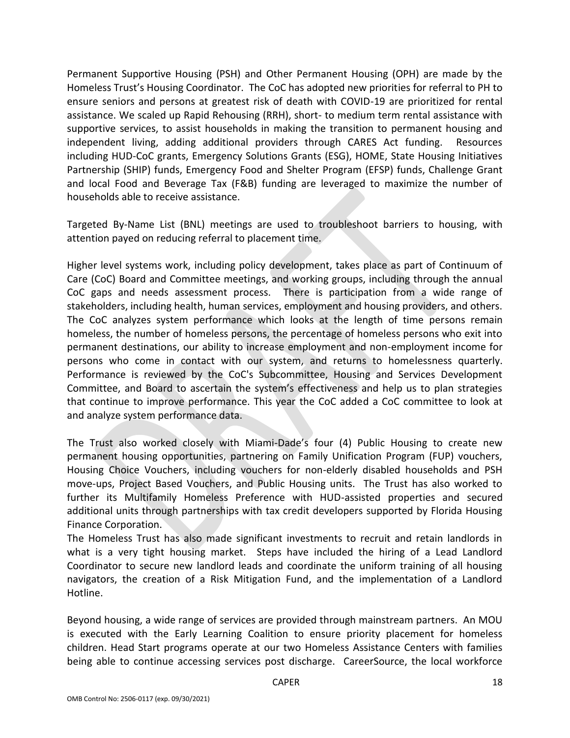Permanent Supportive Housing (PSH) and Other Permanent Housing (OPH) are made by the Homeless Trust's Housing Coordinator. The CoC has adopted new priorities for referral to PH to ensure seniors and persons at greatest risk of death with COVID-19 are prioritized for rental assistance. We scaled up Rapid Rehousing (RRH), short- to medium term rental assistance with supportive services, to assist households in making the transition to permanent housing and independent living, adding additional providers through CARES Act funding. Resources including HUD-CoC grants, Emergency Solutions Grants (ESG), HOME, State Housing Initiatives Partnership (SHIP) funds, Emergency Food and Shelter Program (EFSP) funds, Challenge Grant and local Food and Beverage Tax (F&B) funding are leveraged to maximize the number of households able to receive assistance.

Targeted By-Name List (BNL) meetings are used to troubleshoot barriers to housing, with attention payed on reducing referral to placement time.

Higher level systems work, including policy development, takes place as part of Continuum of Care (CoC) Board and Committee meetings, and working groups, including through the annual CoC gaps and needs assessment process. There is participation from a wide range of stakeholders, including health, human services, employment and housing providers, and others. The CoC analyzes system performance which looks at the length of time persons remain homeless, the number of homeless persons, the percentage of homeless persons who exit into permanent destinations, our ability to increase employment and non-employment income for persons who come in contact with our system, and returns to homelessness quarterly. Performance is reviewed by the CoC's Subcommittee, Housing and Services Development Committee, and Board to ascertain the system's effectiveness and help us to plan strategies that continue to improve performance. This year the CoC added a CoC committee to look at and analyze system performance data.

The Trust also worked closely with Miami-Dade's four (4) Public Housing to create new permanent housing opportunities, partnering on Family Unification Program (FUP) vouchers, Housing Choice Vouchers, including vouchers for non-elderly disabled households and PSH move-ups, Project Based Vouchers, and Public Housing units. The Trust has also worked to further its Multifamily Homeless Preference with HUD-assisted properties and secured additional units through partnerships with tax credit developers supported by Florida Housing Finance Corporation.

The Homeless Trust has also made significant investments to recruit and retain landlords in what is a very tight housing market. Steps have included the hiring of a Lead Landlord Coordinator to secure new landlord leads and coordinate the uniform training of all housing navigators, the creation of a Risk Mitigation Fund, and the implementation of a Landlord Hotline.

Beyond housing, a wide range of services are provided through mainstream partners. An MOU is executed with the Early Learning Coalition to ensure priority placement for homeless children. Head Start programs operate at our two Homeless Assistance Centers with families being able to continue accessing services post discharge. CareerSource, the local workforce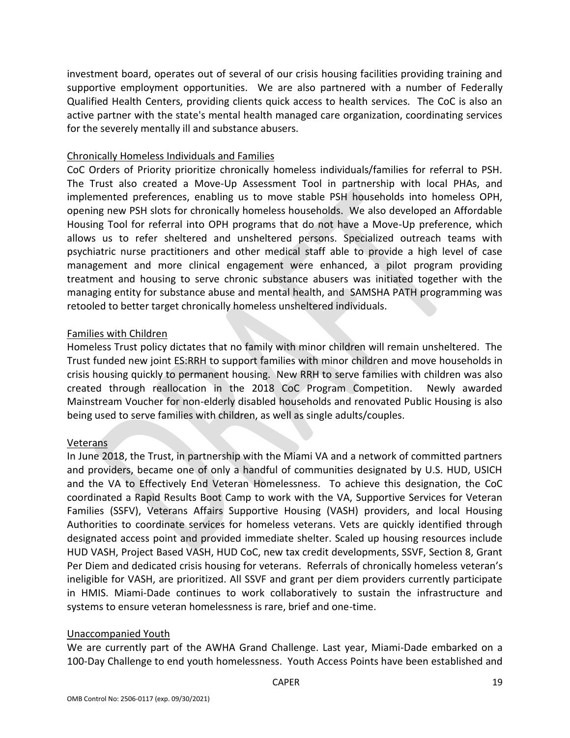investment board, operates out of several of our crisis housing facilities providing training and supportive employment opportunities. We are also partnered with a number of Federally Qualified Health Centers, providing clients quick access to health services. The CoC is also an active partner with the state's mental health managed care organization, coordinating services for the severely mentally ill and substance abusers.

### Chronically Homeless Individuals and Families

CoC Orders of Priority prioritize chronically homeless individuals/families for referral to PSH. The Trust also created a Move-Up Assessment Tool in partnership with local PHAs, and implemented preferences, enabling us to move stable PSH households into homeless OPH, opening new PSH slots for chronically homeless households. We also developed an Affordable Housing Tool for referral into OPH programs that do not have a Move-Up preference, which allows us to refer sheltered and unsheltered persons. Specialized outreach teams with psychiatric nurse practitioners and other medical staff able to provide a high level of case management and more clinical engagement were enhanced, a pilot program providing treatment and housing to serve chronic substance abusers was initiated together with the managing entity for substance abuse and mental health, and SAMSHA PATH programming was retooled to better target chronically homeless unsheltered individuals.

### Families with Children

Homeless Trust policy dictates that no family with minor children will remain unsheltered. The Trust funded new joint ES:RRH to support families with minor children and move households in crisis housing quickly to permanent housing. New RRH to serve families with children was also created through reallocation in the 2018 CoC Program Competition. Newly awarded Mainstream Voucher for non-elderly disabled households and renovated Public Housing is also being used to serve families with children, as well as single adults/couples.

### Veterans

In June 2018, the Trust, in partnership with the Miami VA and a network of committed partners and providers, became one of only a handful of communities designated by U.S. HUD, USICH and the VA to Effectively End Veteran Homelessness. To achieve this designation, the CoC coordinated a Rapid Results Boot Camp to work with the VA, Supportive Services for Veteran Families (SSFV), Veterans Affairs Supportive Housing (VASH) providers, and local Housing Authorities to coordinate services for homeless veterans. Vets are quickly identified through designated access point and provided immediate shelter. Scaled up housing resources include HUD VASH, Project Based VASH, HUD CoC, new tax credit developments, SSVF, Section 8, Grant Per Diem and dedicated crisis housing for veterans. Referrals of chronically homeless veteran's ineligible for VASH, are prioritized. All SSVF and grant per diem providers currently participate in HMIS. Miami-Dade continues to work collaboratively to sustain the infrastructure and systems to ensure veteran homelessness is rare, brief and one-time.

### Unaccompanied Youth

We are currently part of the AWHA Grand Challenge. Last year, Miami-Dade embarked on a 100-Day Challenge to end youth homelessness. Youth Access Points have been established and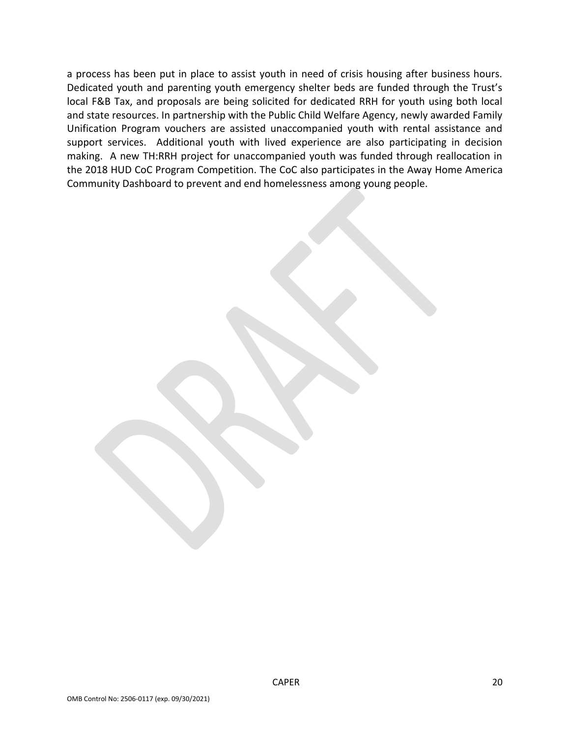a process has been put in place to assist youth in need of crisis housing after business hours. Dedicated youth and parenting youth emergency shelter beds are funded through the Trust's local F&B Tax, and proposals are being solicited for dedicated RRH for youth using both local and state resources. In partnership with the Public Child Welfare Agency, newly awarded Family Unification Program vouchers are assisted unaccompanied youth with rental assistance and support services. Additional youth with lived experience are also participating in decision making. A new TH:RRH project for unaccompanied youth was funded through reallocation in the 2018 HUD CoC Program Competition. The CoC also participates in the Away Home America Community Dashboard to prevent and end homelessness among young people.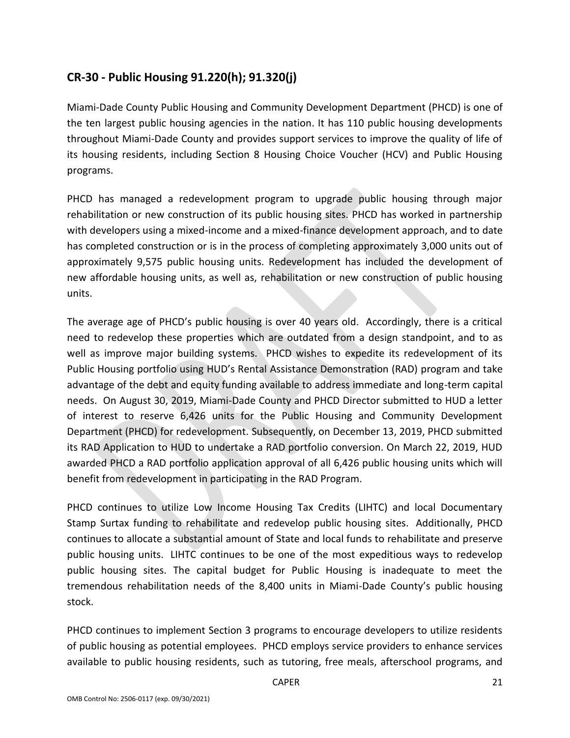# **CR-30 - Public Housing 91.220(h); 91.320(j)**

Miami-Dade County Public Housing and Community Development Department (PHCD) is one of the ten largest public housing agencies in the nation. It has 110 public housing developments throughout Miami-Dade County and provides support services to improve the quality of life of its housing residents, including Section 8 Housing Choice Voucher (HCV) and Public Housing programs.

PHCD has managed a redevelopment program to upgrade public housing through major rehabilitation or new construction of its public housing sites. PHCD has worked in partnership with developers using a mixed-income and a mixed-finance development approach, and to date has completed construction or is in the process of completing approximately 3,000 units out of approximately 9,575 public housing units. Redevelopment has included the development of new affordable housing units, as well as, rehabilitation or new construction of public housing units.

The average age of PHCD's public housing is over 40 years old. Accordingly, there is a critical need to redevelop these properties which are outdated from a design standpoint, and to as well as improve major building systems. PHCD wishes to expedite its redevelopment of its Public Housing portfolio using HUD's Rental Assistance Demonstration (RAD) program and take advantage of the debt and equity funding available to address immediate and long-term capital needs. On August 30, 2019, Miami-Dade County and PHCD Director submitted to HUD a letter of interest to reserve 6,426 units for the Public Housing and Community Development Department (PHCD) for redevelopment. Subsequently, on December 13, 2019, PHCD submitted its RAD Application to HUD to undertake a RAD portfolio conversion. On March 22, 2019, HUD awarded PHCD a RAD portfolio application approval of all 6,426 public housing units which will benefit from redevelopment in participating in the RAD Program.

PHCD continues to utilize Low Income Housing Tax Credits (LIHTC) and local Documentary Stamp Surtax funding to rehabilitate and redevelop public housing sites. Additionally, PHCD continues to allocate a substantial amount of State and local funds to rehabilitate and preserve public housing units. LIHTC continues to be one of the most expeditious ways to redevelop public housing sites. The capital budget for Public Housing is inadequate to meet the tremendous rehabilitation needs of the 8,400 units in Miami-Dade County's public housing stock.

PHCD continues to implement Section 3 programs to encourage developers to utilize residents of public housing as potential employees. PHCD employs service providers to enhance services available to public housing residents, such as tutoring, free meals, afterschool programs, and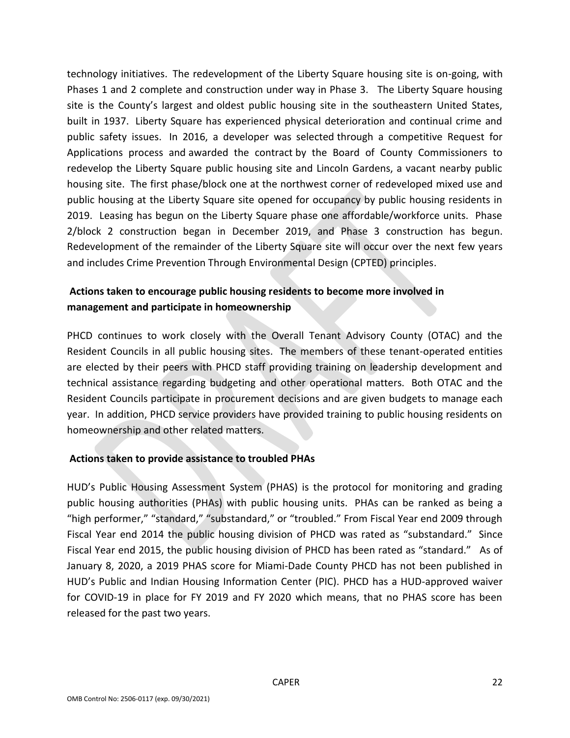technology initiatives. The redevelopment of the Liberty Square housing site is on-going, with Phases 1 and 2 complete and construction under way in Phase 3. The Liberty Square housing site is the County's largest and oldest public housing site in the southeastern United States, built in 1937. Liberty Square has experienced physical deterioration and continual crime and public safety issues. In 2016, a developer was selected through a competitive Request for Applications process and awarded the contract by the Board of County Commissioners to redevelop the Liberty Square public housing site and Lincoln Gardens, a vacant nearby public housing site. The first phase/block one at the northwest corner of redeveloped mixed use and public housing at the Liberty Square site opened for occupancy by public housing residents in 2019. Leasing has begun on the Liberty Square phase one affordable/workforce units. Phase 2/block 2 construction began in December 2019, and Phase 3 construction has begun. Redevelopment of the remainder of the Liberty Square site will occur over the next few years and includes Crime Prevention Through Environmental Design (CPTED) principles.

# **Actions taken to encourage public housing residents to become more involved in management and participate in homeownership**

PHCD continues to work closely with the Overall Tenant Advisory County (OTAC) and the Resident Councils in all public housing sites. The members of these tenant-operated entities are elected by their peers with PHCD staff providing training on leadership development and technical assistance regarding budgeting and other operational matters. Both OTAC and the Resident Councils participate in procurement decisions and are given budgets to manage each year. In addition, PHCD service providers have provided training to public housing residents on homeownership and other related matters.

## **Actions taken to provide assistance to troubled PHAs**

HUD's Public Housing Assessment System (PHAS) is the protocol for monitoring and grading public housing authorities (PHAs) with public housing units. PHAs can be ranked as being a "high performer," "standard," "substandard," or "troubled." From Fiscal Year end 2009 through Fiscal Year end 2014 the public housing division of PHCD was rated as "substandard." Since Fiscal Year end 2015, the public housing division of PHCD has been rated as "standard." As of January 8, 2020, a 2019 PHAS score for Miami-Dade County PHCD has not been published in HUD's Public and Indian Housing Information Center (PIC). PHCD has a HUD-approved waiver for COVID-19 in place for FY 2019 and FY 2020 which means, that no PHAS score has been released for the past two years.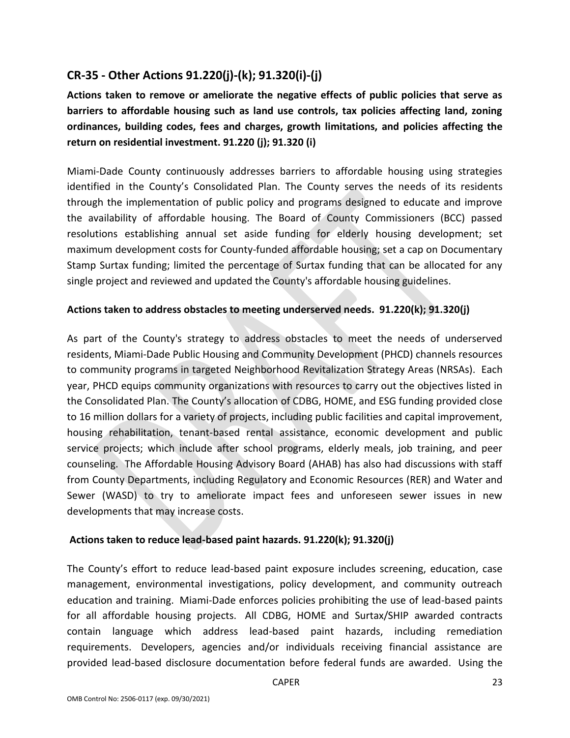# **CR-35 - Other Actions 91.220(j)-(k); 91.320(i)-(j)**

**Actions taken to remove or ameliorate the negative effects of public policies that serve as barriers to affordable housing such as land use controls, tax policies affecting land, zoning ordinances, building codes, fees and charges, growth limitations, and policies affecting the return on residential investment. 91.220 (j); 91.320 (i)**

Miami-Dade County continuously addresses barriers to affordable housing using strategies identified in the County's Consolidated Plan. The County serves the needs of its residents through the implementation of public policy and programs designed to educate and improve the availability of affordable housing. The Board of County Commissioners (BCC) passed resolutions establishing annual set aside funding for elderly housing development; set maximum development costs for County-funded affordable housing; set a cap on Documentary Stamp Surtax funding; limited the percentage of Surtax funding that can be allocated for any single project and reviewed and updated the County's affordable housing guidelines.

## **Actions taken to address obstacles to meeting underserved needs. 91.220(k); 91.320(j)**

As part of the County's strategy to address obstacles to meet the needs of underserved residents, Miami-Dade Public Housing and Community Development (PHCD) channels resources to community programs in targeted Neighborhood Revitalization Strategy Areas (NRSAs). Each year, PHCD equips community organizations with resources to carry out the objectives listed in the Consolidated Plan. The County's allocation of CDBG, HOME, and ESG funding provided close to 16 million dollars for a variety of projects, including public facilities and capital improvement, housing rehabilitation, tenant-based rental assistance, economic development and public service projects; which include after school programs, elderly meals, job training, and peer counseling. The Affordable Housing Advisory Board (AHAB) has also had discussions with staff from County Departments, including Regulatory and Economic Resources (RER) and Water and Sewer (WASD) to try to ameliorate impact fees and unforeseen sewer issues in new developments that may increase costs.

## **Actions taken to reduce lead-based paint hazards. 91.220(k); 91.320(j)**

The County's effort to reduce lead-based paint exposure includes screening, education, case management, environmental investigations, policy development, and community outreach education and training. Miami-Dade enforces policies prohibiting the use of lead-based paints for all affordable housing projects. All CDBG, HOME and Surtax/SHIP awarded contracts contain language which address lead-based paint hazards, including remediation requirements. Developers, agencies and/or individuals receiving financial assistance are provided lead-based disclosure documentation before federal funds are awarded. Using the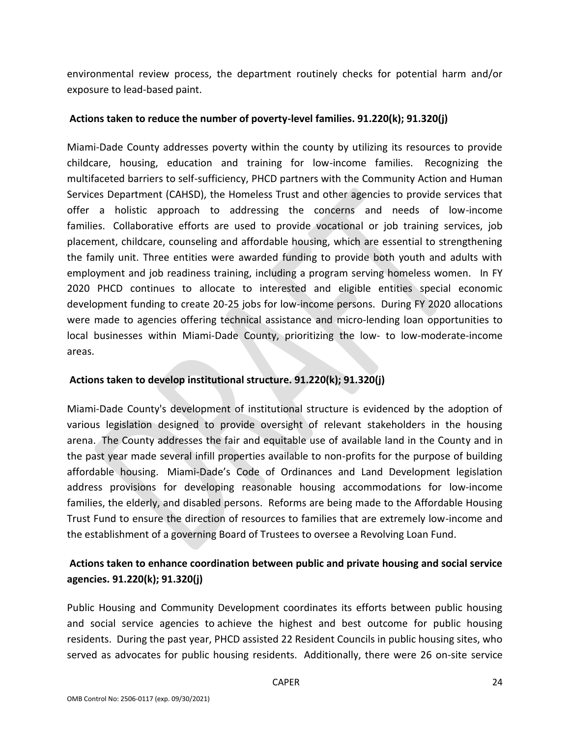environmental review process, the department routinely checks for potential harm and/or exposure to lead-based paint.

### **Actions taken to reduce the number of poverty-level families. 91.220(k); 91.320(j)**

Miami-Dade County addresses poverty within the county by utilizing its resources to provide childcare, housing, education and training for low-income families. Recognizing the multifaceted barriers to self-sufficiency, PHCD partners with the Community Action and Human Services Department (CAHSD), the Homeless Trust and other agencies to provide services that offer a holistic approach to addressing the concerns and needs of low-income families. Collaborative efforts are used to provide vocational or job training services, job placement, childcare, counseling and affordable housing, which are essential to strengthening the family unit. Three entities were awarded funding to provide both youth and adults with employment and job readiness training, including a program serving homeless women. In FY 2020 PHCD continues to allocate to interested and eligible entities special economic development funding to create 20-25 jobs for low-income persons. During FY 2020 allocations were made to agencies offering technical assistance and micro-lending loan opportunities to local businesses within Miami-Dade County, prioritizing the low- to low-moderate-income areas.

### **Actions taken to develop institutional structure. 91.220(k); 91.320(j)**

Miami-Dade County's development of institutional structure is evidenced by the adoption of various legislation designed to provide oversight of relevant stakeholders in the housing arena. The County addresses the fair and equitable use of available land in the County and in the past year made several infill properties available to non-profits for the purpose of building affordable housing. Miami-Dade's Code of Ordinances and Land Development legislation address provisions for developing reasonable housing accommodations for low-income families, the elderly, and disabled persons. Reforms are being made to the Affordable Housing Trust Fund to ensure the direction of resources to families that are extremely low-income and the establishment of a governing Board of Trustees to oversee a Revolving Loan Fund.

# **Actions taken to enhance coordination between public and private housing and social service agencies. 91.220(k); 91.320(j)**

Public Housing and Community Development coordinates its efforts between public housing and social service agencies to achieve the highest and best outcome for public housing residents. During the past year, PHCD assisted 22 Resident Councils in public housing sites, who served as advocates for public housing residents. Additionally, there were 26 on-site service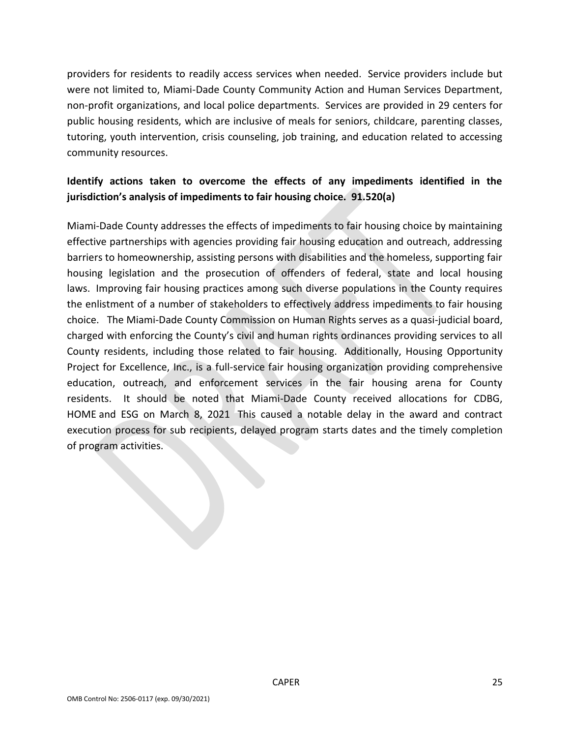providers for residents to readily access services when needed. Service providers include but were not limited to, Miami-Dade County Community Action and Human Services Department, non-profit organizations, and local police departments. Services are provided in 29 centers for public housing residents, which are inclusive of meals for seniors, childcare, parenting classes, tutoring, youth intervention, crisis counseling, job training, and education related to accessing community resources.

# **Identify actions taken to overcome the effects of any impediments identified in the jurisdiction's analysis of impediments to fair housing choice. 91.520(a)**

Miami-Dade County addresses the effects of impediments to fair housing choice by maintaining effective partnerships with agencies providing fair housing education and outreach, addressing barriers to homeownership, assisting persons with disabilities and the homeless, supporting fair housing legislation and the prosecution of offenders of federal, state and local housing laws. Improving fair housing practices among such diverse populations in the County requires the enlistment of a number of stakeholders to effectively address impediments to fair housing choice. The Miami-Dade County Commission on Human Rights serves as a quasi-judicial board, charged with enforcing the County's civil and human rights ordinances providing services to all County residents, including those related to fair housing. Additionally, Housing Opportunity Project for Excellence, Inc., is a full-service fair housing organization providing comprehensive education, outreach, and enforcement services in the fair housing arena for County residents. It should be noted that Miami-Dade County received allocations for CDBG, HOME and ESG on March 8, 2021 This caused a notable delay in the award and contract execution process for sub recipients, delayed program starts dates and the timely completion of program activities.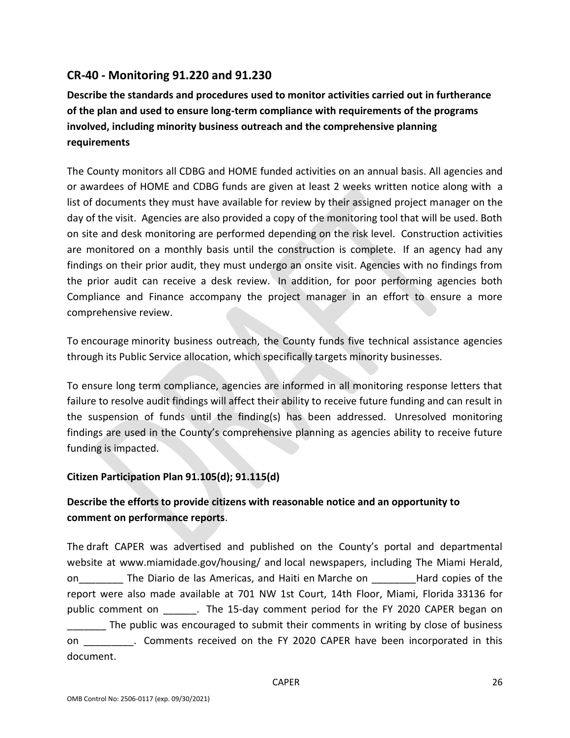# **CR-40 - Monitoring 91.220 and 91.230**

**Describe the standards and procedures used to monitor activities carried out in furtherance of the plan and used to ensure long-term compliance with requirements of the programs involved, including minority business outreach and the comprehensive planning requirements**

The County monitors all CDBG and HOME funded activities on an annual basis. All agencies and or awardees of HOME and CDBG funds are given at least 2 weeks written notice along with a list of documents they must have available for review by their assigned project manager on the day of the visit. Agencies are also provided a copy of the monitoring tool that will be used. Both on site and desk monitoring are performed depending on the risk level. Construction activities are monitored on a monthly basis until the construction is complete. If an agency had any findings on their prior audit, they must undergo an onsite visit. Agencies with no findings from the prior audit can receive a desk review. In addition, for poor performing agencies both Compliance and Finance accompany the project manager in an effort to ensure a more comprehensive review.

To encourage minority business outreach, the County funds five technical assistance agencies through its Public Service allocation, which specifically targets minority businesses.

To ensure long term compliance, agencies are informed in all monitoring response letters that failure to resolve audit findings will affect their ability to receive future funding and can result in the suspension of funds until the finding(s) has been addressed. Unresolved monitoring findings are used in the County's comprehensive planning as agencies ability to receive future funding is impacted.

## **Citizen Participation Plan 91.105(d); 91.115(d)**

# **Describe the efforts to provide citizens with reasonable notice and an opportunity to comment on performance reports**.

The draft CAPER was advertised and published on the County's portal and departmental website at www.miamidade.gov/housing/ and local newspapers, including The Miami Herald, on\_\_\_\_\_\_\_\_ The Diario de las Americas, and Haiti en Marche on Frand copies of the report were also made available at 701 NW 1st Court, 14th Floor, Miami, Florida 33136 for public comment on . The 15-day comment period for the FY 2020 CAPER began on The public was encouraged to submit their comments in writing by close of business on external comments received on the FY 2020 CAPER have been incorporated in this document.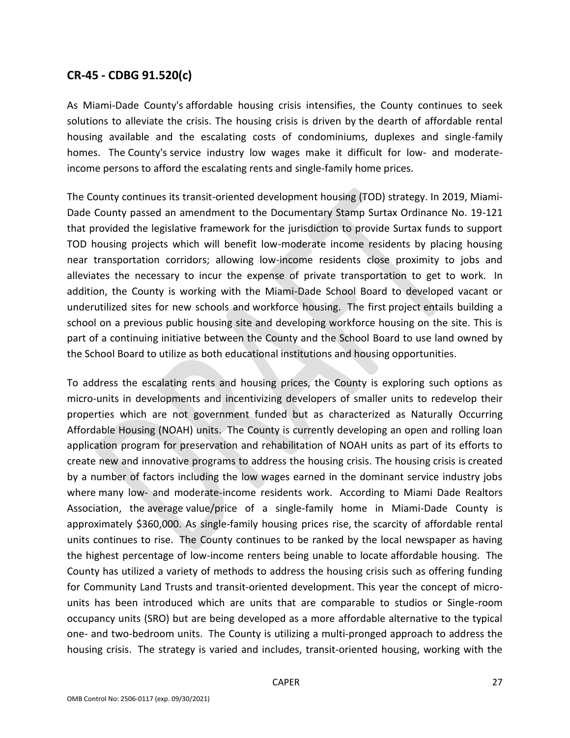## **CR-45 - CDBG 91.520(c)**

As Miami-Dade County's affordable housing crisis intensifies, the County continues to seek solutions to alleviate the crisis. The housing crisis is driven by the dearth of affordable rental housing available and the escalating costs of condominiums, duplexes and single-family homes. The County's service industry low wages make it difficult for low- and moderateincome persons to afford the escalating rents and single-family home prices.

The County continues its transit-oriented development housing (TOD) strategy. In 2019, Miami-Dade County passed an amendment to the Documentary Stamp Surtax Ordinance No. 19-121 that provided the legislative framework for the jurisdiction to provide Surtax funds to support TOD housing projects which will benefit low-moderate income residents by placing housing near transportation corridors; allowing low-income residents close proximity to jobs and alleviates the necessary to incur the expense of private transportation to get to work. In addition, the County is working with the Miami-Dade School Board to developed vacant or underutilized sites for new schools and workforce housing. The first project entails building a school on a previous public housing site and developing workforce housing on the site. This is part of a continuing initiative between the County and the School Board to use land owned by the School Board to utilize as both educational institutions and housing opportunities.

To address the escalating rents and housing prices, the County is exploring such options as micro-units in developments and incentivizing developers of smaller units to redevelop their properties which are not government funded but as characterized as Naturally Occurring Affordable Housing (NOAH) units. The County is currently developing an open and rolling loan application program for preservation and rehabilitation of NOAH units as part of its efforts to create new and innovative programs to address the housing crisis. The housing crisis is created by a number of factors including the low wages earned in the dominant service industry jobs where many low- and moderate-income residents work. According to Miami Dade Realtors Association, the average value/price of a single-family home in Miami-Dade County is approximately \$360,000. As single-family housing prices rise, the scarcity of affordable rental units continues to rise. The County continues to be ranked by the local newspaper as having the highest percentage of low-income renters being unable to locate affordable housing. The County has utilized a variety of methods to address the housing crisis such as offering funding for Community Land Trusts and transit-oriented development. This year the concept of microunits has been introduced which are units that are comparable to studios or Single-room occupancy units (SRO) but are being developed as a more affordable alternative to the typical one- and two-bedroom units. The County is utilizing a multi-pronged approach to address the housing crisis. The strategy is varied and includes, transit-oriented housing, working with the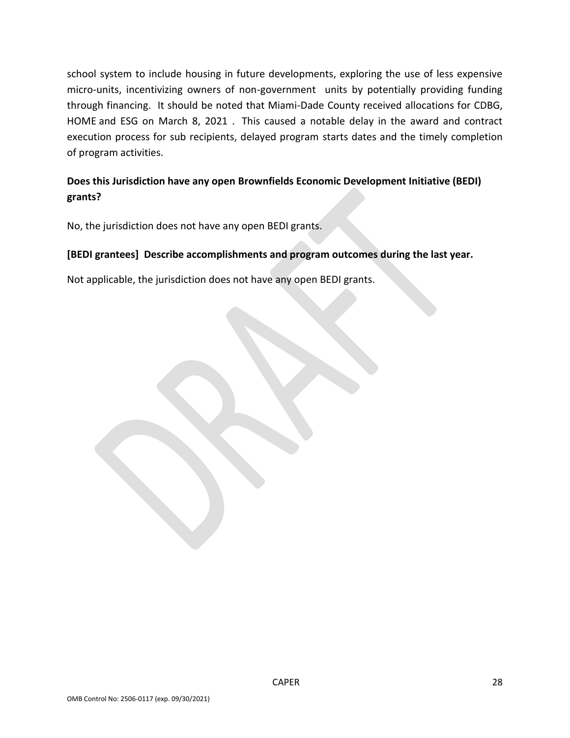school system to include housing in future developments, exploring the use of less expensive micro-units, incentivizing owners of non-government units by potentially providing funding through financing. It should be noted that Miami-Dade County received allocations for CDBG, HOME and ESG on March 8, 2021 . This caused a notable delay in the award and contract execution process for sub recipients, delayed program starts dates and the timely completion of program activities.

# **Does this Jurisdiction have any open Brownfields Economic Development Initiative (BEDI) grants?**

No, the jurisdiction does not have any open BEDI grants.

## **[BEDI grantees] Describe accomplishments and program outcomes during the last year.**

Not applicable, the jurisdiction does not have any open BEDI grants.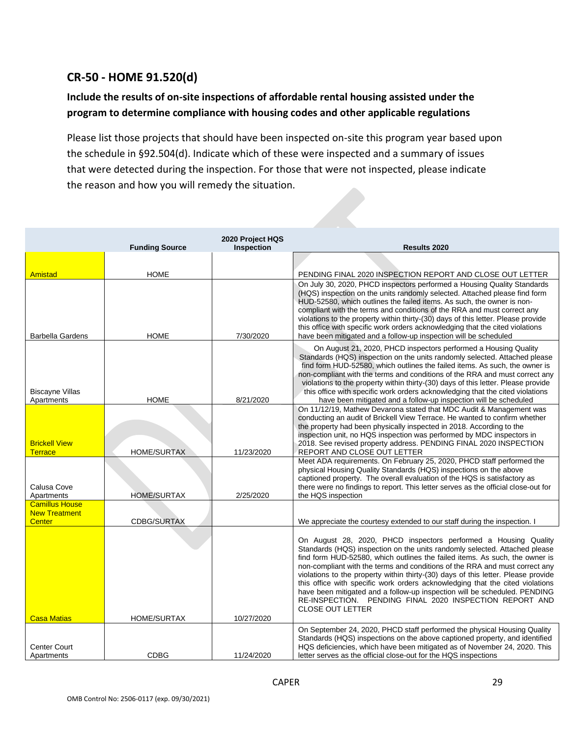# **CR-50 - HOME 91.520(d)**

# **Include the results of on-site inspections of affordable rental housing assisted under the program to determine compliance with housing codes and other applicable regulations**

Please list those projects that should have been inspected on-site this program year based upon the schedule in §92.504(d). Indicate which of these were inspected and a summary of issues that were detected during the inspection. For those that were not inspected, please indicate the reason and how you will remedy the situation.

|                                               | <b>Funding Source</b> | 2020 Project HQS<br><b>Inspection</b> | Results 2020                                                                                                                                                                                                                                                                                                                                                                                                                                                                                                                                                                                                                                         |
|-----------------------------------------------|-----------------------|---------------------------------------|------------------------------------------------------------------------------------------------------------------------------------------------------------------------------------------------------------------------------------------------------------------------------------------------------------------------------------------------------------------------------------------------------------------------------------------------------------------------------------------------------------------------------------------------------------------------------------------------------------------------------------------------------|
|                                               |                       |                                       |                                                                                                                                                                                                                                                                                                                                                                                                                                                                                                                                                                                                                                                      |
| Amistad                                       | <b>HOME</b>           |                                       | PENDING FINAL 2020 INSPECTION REPORT AND CLOSE OUT LETTER                                                                                                                                                                                                                                                                                                                                                                                                                                                                                                                                                                                            |
| <b>Barbella Gardens</b>                       | <b>HOME</b>           | 7/30/2020                             | On July 30, 2020, PHCD inspectors performed a Housing Quality Standards<br>(HQS) inspection on the units randomly selected. Attached please find form<br>HUD-52580, which outlines the failed items. As such, the owner is non-<br>compliant with the terms and conditions of the RRA and must correct any<br>violations to the property within thirty-(30) days of this letter. Please provide<br>this office with specific work orders acknowledging that the cited violations<br>have been mitigated and a follow-up inspection will be scheduled                                                                                                 |
| <b>Biscayne Villas</b><br>Apartments          | <b>HOME</b>           | 8/21/2020                             | On August 21, 2020, PHCD inspectors performed a Housing Quality<br>Standards (HQS) inspection on the units randomly selected. Attached please<br>find form HUD-52580, which outlines the failed items. As such, the owner is<br>non-compliant with the terms and conditions of the RRA and must correct any<br>violations to the property within thirty-(30) days of this letter. Please provide<br>this office with specific work orders acknowledging that the cited violations<br>have been mitigated and a follow-up inspection will be scheduled                                                                                                |
| <b>Brickell View</b><br><b>Terrace</b>        | <b>HOME/SURTAX</b>    | 11/23/2020                            | On 11/12/19, Mathew Devarona stated that MDC Audit & Management was<br>conducting an audit of Brickell View Terrace. He wanted to confirm whether<br>the property had been physically inspected in 2018. According to the<br>inspection unit, no HQS inspection was performed by MDC inspectors in<br>2018. See revised property address. PENDING FINAL 2020 INSPECTION<br>REPORT AND CLOSE OUT LETTER                                                                                                                                                                                                                                               |
| Calusa Cove<br>Apartments                     | <b>HOME/SURTAX</b>    | 2/25/2020                             | Meet ADA requirements. On February 25, 2020, PHCD staff performed the<br>physical Housing Quality Standards (HQS) inspections on the above<br>captioned property. The overall evaluation of the HQS is satisfactory as<br>there were no findings to report. This letter serves as the official close-out for<br>the HQS inspection                                                                                                                                                                                                                                                                                                                   |
| <b>Camillus House</b><br><b>New Treatment</b> |                       |                                       |                                                                                                                                                                                                                                                                                                                                                                                                                                                                                                                                                                                                                                                      |
| <b>Center</b>                                 | <b>CDBG/SURTAX</b>    |                                       | We appreciate the courtesy extended to our staff during the inspection. I                                                                                                                                                                                                                                                                                                                                                                                                                                                                                                                                                                            |
|                                               |                       |                                       | On August 28, 2020, PHCD inspectors performed a Housing Quality<br>Standards (HQS) inspection on the units randomly selected. Attached please<br>find form HUD-52580, which outlines the failed items. As such, the owner is<br>non-compliant with the terms and conditions of the RRA and must correct any<br>violations to the property within thirty-(30) days of this letter. Please provide<br>this office with specific work orders acknowledging that the cited violations<br>have been mitigated and a follow-up inspection will be scheduled. PENDING<br>RE-INSPECTION. PENDING FINAL 2020 INSPECTION REPORT AND<br><b>CLOSE OUT LETTER</b> |
| <b>Casa Matias</b>                            | <b>HOME/SURTAX</b>    | 10/27/2020                            | On September 24, 2020, PHCD staff performed the physical Housing Quality                                                                                                                                                                                                                                                                                                                                                                                                                                                                                                                                                                             |
| <b>Center Court</b><br>Apartments             | <b>CDBG</b>           | 11/24/2020                            | Standards (HQS) inspections on the above captioned property, and identified<br>HQS deficiencies, which have been mitigated as of November 24, 2020. This<br>letter serves as the official close-out for the HQS inspections                                                                                                                                                                                                                                                                                                                                                                                                                          |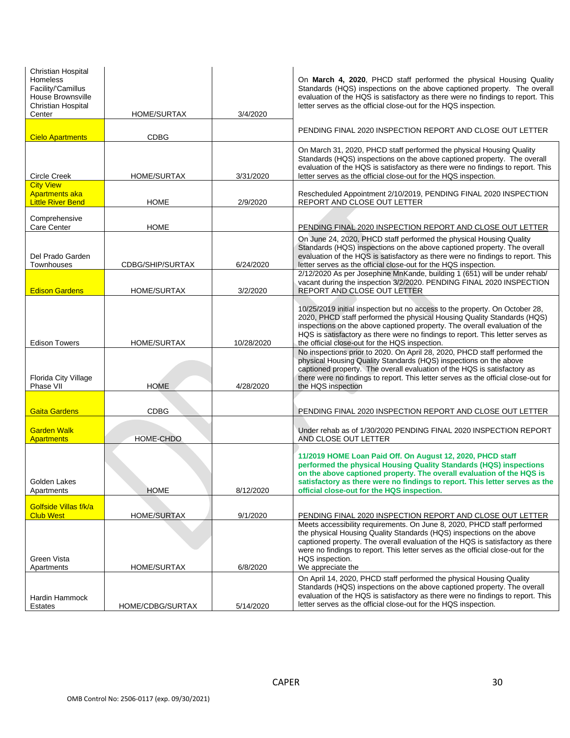| Christian Hospital<br>Homeless<br>Facility/'Camillus<br>House Brownsville<br>Christian Hospital<br>Center | HOME/SURTAX        | 3/4/2020   | On March 4, 2020, PHCD staff performed the physical Housing Quality<br>Standards (HQS) inspections on the above captioned property. The overall<br>evaluation of the HQS is satisfactory as there were no findings to report. This<br>letter serves as the official close-out for the HQS inspection.                                                                    |
|-----------------------------------------------------------------------------------------------------------|--------------------|------------|--------------------------------------------------------------------------------------------------------------------------------------------------------------------------------------------------------------------------------------------------------------------------------------------------------------------------------------------------------------------------|
| <b>Cielo Apartments</b>                                                                                   | CDBG               |            | PENDING FINAL 2020 INSPECTION REPORT AND CLOSE OUT LETTER                                                                                                                                                                                                                                                                                                                |
| <b>Circle Creek</b>                                                                                       | <b>HOME/SURTAX</b> | 3/31/2020  | On March 31, 2020, PHCD staff performed the physical Housing Quality<br>Standards (HQS) inspections on the above captioned property. The overall<br>evaluation of the HQS is satisfactory as there were no findings to report. This<br>letter serves as the official close-out for the HQS inspection.                                                                   |
| <b>City View</b><br><b>Apartments aka</b><br><b>Little River Bend</b>                                     | <b>HOME</b>        | 2/9/2020   | Rescheduled Appointment 2/10/2019, PENDING FINAL 2020 INSPECTION<br>REPORT AND CLOSE OUT LETTER                                                                                                                                                                                                                                                                          |
| Comprehensive<br>Care Center                                                                              | <b>HOME</b>        |            | PENDING FINAL 2020 INSPECTION REPORT AND CLOSE OUT LETTER                                                                                                                                                                                                                                                                                                                |
| Del Prado Garden<br>Townhouses                                                                            | CDBG/SHIP/SURTAX   | 6/24/2020  | On June 24, 2020, PHCD staff performed the physical Housing Quality<br>Standards (HQS) inspections on the above captioned property. The overall<br>evaluation of the HQS is satisfactory as there were no findings to report. This<br>letter serves as the official close-out for the HQS inspection.                                                                    |
| <b>Edison Gardens</b>                                                                                     | <b>HOME/SURTAX</b> | 3/2/2020   | 2/12/2020 As per Josephine MnKande, building 1 (651) will be under rehab/<br>vacant during the inspection 3/2/2020. PENDING FINAL 2020 INSPECTION<br>REPORT AND CLOSE OUT LETTER                                                                                                                                                                                         |
| <b>Edison Towers</b>                                                                                      | <b>HOME/SURTAX</b> | 10/28/2020 | 10/25/2019 initial inspection but no access to the property. On October 28,<br>2020, PHCD staff performed the physical Housing Quality Standards (HQS)<br>inspections on the above captioned property. The overall evaluation of the<br>HQS is satisfactory as there were no findings to report. This letter serves as<br>the official close-out for the HQS inspection. |
| Florida City Village<br>Phase VII                                                                         | <b>HOME</b>        | 4/28/2020  | No inspections prior to 2020. On April 28, 2020, PHCD staff performed the<br>physical Housing Quality Standards (HQS) inspections on the above<br>captioned property. The overall evaluation of the HQS is satisfactory as<br>there were no findings to report. This letter serves as the official close-out for<br>the HQS inspection                                   |
| <b>Gaita Gardens</b>                                                                                      | CDBG               |            | PENDING FINAL 2020 INSPECTION REPORT AND CLOSE OUT LETTER                                                                                                                                                                                                                                                                                                                |
| <b>Garden Walk</b><br><b>Apartments</b>                                                                   | HOME-CHDO          |            | Under rehab as of 1/30/2020 PENDING FINAL 2020 INSPECTION REPORT<br>AND CLOSE OUT LETTER                                                                                                                                                                                                                                                                                 |
| Golden Lakes<br>Apartments                                                                                | <b>HOME</b>        | 8/12/2020  | 11/2019 HOME Loan Paid Off. On August 12, 2020, PHCD staff<br>performed the physical Housing Quality Standards (HQS) inspections<br>on the above captioned property. The overall evaluation of the HQS is<br>satisfactory as there were no findings to report. This letter serves as the<br>official close-out for the HQS inspection.                                   |
| Golfside Villas f/k/a<br><b>Club West</b>                                                                 | <b>HOME/SURTAX</b> | 9/1/2020   | PENDING FINAL 2020 INSPECTION REPORT AND CLOSE OUT LETTER                                                                                                                                                                                                                                                                                                                |
| Green Vista<br>Apartments                                                                                 | <b>HOME/SURTAX</b> | 6/8/2020   | Meets accessibility requirements. On June 8, 2020, PHCD staff performed<br>the physical Housing Quality Standards (HQS) inspections on the above<br>captioned property. The overall evaluation of the HQS is satisfactory as there<br>were no findings to report. This letter serves as the official close-out for the<br>HQS inspection.<br>We appreciate the           |
| Hardin Hammock<br>Estates                                                                                 | HOME/CDBG/SURTAX   | 5/14/2020  | On April 14, 2020, PHCD staff performed the physical Housing Quality<br>Standards (HQS) inspections on the above captioned property. The overall<br>evaluation of the HQS is satisfactory as there were no findings to report. This<br>letter serves as the official close-out for the HQS inspection.                                                                   |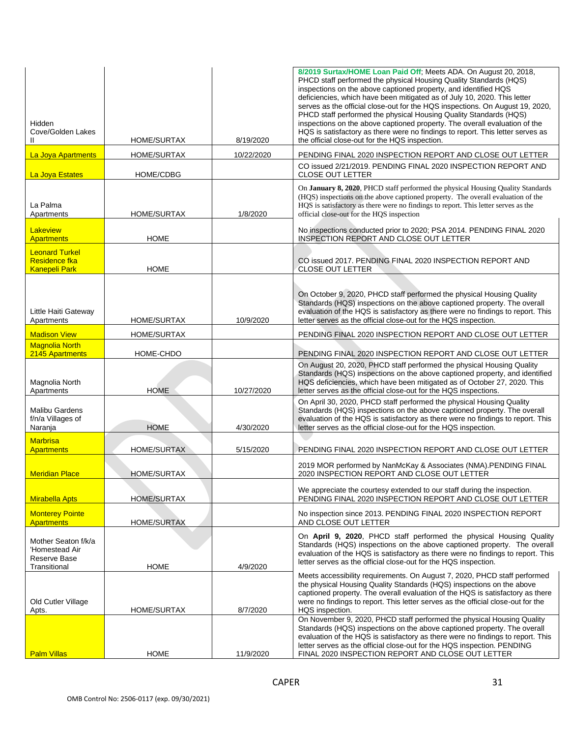| Hidden<br>Cove/Golden Lakes<br>Ш                                      | HOME/SURTAX        | 8/19/2020  | 8/2019 Surtax/HOME Loan Paid Off; Meets ADA. On August 20, 2018,<br>PHCD staff performed the physical Housing Quality Standards (HQS)<br>inspections on the above captioned property, and identified HQS<br>deficiencies, which have been mitigated as of July 10, 2020. This letter<br>serves as the official close-out for the HQS inspections. On August 19, 2020,<br>PHCD staff performed the physical Housing Quality Standards (HQS)<br>inspections on the above captioned property. The overall evaluation of the<br>HQS is satisfactory as there were no findings to report. This letter serves as<br>the official close-out for the HQS inspection. |
|-----------------------------------------------------------------------|--------------------|------------|--------------------------------------------------------------------------------------------------------------------------------------------------------------------------------------------------------------------------------------------------------------------------------------------------------------------------------------------------------------------------------------------------------------------------------------------------------------------------------------------------------------------------------------------------------------------------------------------------------------------------------------------------------------|
| La Joya Apartments                                                    | HOME/SURTAX        | 10/22/2020 | PENDING FINAL 2020 INSPECTION REPORT AND CLOSE OUT LETTER                                                                                                                                                                                                                                                                                                                                                                                                                                                                                                                                                                                                    |
| <b>La Joya Estates</b>                                                | <b>HOME/CDBG</b>   |            | CO issued 2/21/2019. PENDING FINAL 2020 INSPECTION REPORT AND<br><b>CLOSE OUT LETTER</b>                                                                                                                                                                                                                                                                                                                                                                                                                                                                                                                                                                     |
| La Palma<br>Apartments                                                | <b>HOME/SURTAX</b> | 1/8/2020   | On January 8, 2020, PHCD staff performed the physical Housing Quality Standards<br>(HQS) inspections on the above captioned property. The overall evaluation of the<br>HQS is satisfactory as there were no findings to report. This letter serves as the<br>official close-out for the HQS inspection                                                                                                                                                                                                                                                                                                                                                       |
| Lakeview<br><b>Apartments</b>                                         | <b>HOME</b>        |            | No inspections conducted prior to 2020; PSA 2014. PENDING FINAL 2020<br>INSPECTION REPORT AND CLOSE OUT LETTER                                                                                                                                                                                                                                                                                                                                                                                                                                                                                                                                               |
| <b>Leonard Turkel</b><br><b>Residence fka</b><br><b>Kanepeli Park</b> | <b>HOME</b>        |            | CO issued 2017. PENDING FINAL 2020 INSPECTION REPORT AND<br>CLOSE OUT LETTER                                                                                                                                                                                                                                                                                                                                                                                                                                                                                                                                                                                 |
| Little Haiti Gateway<br>Apartments                                    | <b>HOME/SURTAX</b> | 10/9/2020  | On October 9, 2020, PHCD staff performed the physical Housing Quality<br>Standards (HQS) inspections on the above captioned property. The overall<br>evaluation of the HQS is satisfactory as there were no findings to report. This<br>letter serves as the official close-out for the HQS inspection.                                                                                                                                                                                                                                                                                                                                                      |
| <b>Madison View</b>                                                   | <b>HOME/SURTAX</b> |            | PENDING FINAL 2020 INSPECTION REPORT AND CLOSE OUT LETTER                                                                                                                                                                                                                                                                                                                                                                                                                                                                                                                                                                                                    |
| <b>Magnolia North</b><br>2145 Apartments                              | HOME-CHDO          |            | PENDING FINAL 2020 INSPECTION REPORT AND CLOSE OUT LETTER                                                                                                                                                                                                                                                                                                                                                                                                                                                                                                                                                                                                    |
| Magnolia North<br>Apartments                                          | <b>HOME</b>        | 10/27/2020 | On August 20, 2020, PHCD staff performed the physical Housing Quality<br>Standards (HQS) inspections on the above captioned property, and identified<br>HQS deficiencies, which have been mitigated as of October 27, 2020. This<br>letter serves as the official close-out for the HQS inspections.                                                                                                                                                                                                                                                                                                                                                         |
| Malibu Gardens<br>f/n/a Villages of<br>Naranja                        | <b>HOME</b>        | 4/30/2020  | On April 30, 2020, PHCD staff performed the physical Housing Quality<br>Standards (HQS) inspections on the above captioned property. The overall<br>evaluation of the HQS is satisfactory as there were no findings to report. This<br>letter serves as the official close-out for the HQS inspection.                                                                                                                                                                                                                                                                                                                                                       |
| <b>Marbrisa</b><br><b>Apartments</b>                                  | HOME/SURTAX        | 5/15/2020  | PENDING FINAL 2020 INSPECTION REPORT AND CLOSE OUT LETTER                                                                                                                                                                                                                                                                                                                                                                                                                                                                                                                                                                                                    |
| <b>Meridian Place</b>                                                 | <b>HOME/SURTAX</b> |            | 2019 MOR performed by NanMcKay & Associates (NMA). PENDING FINAL<br>2020 INSPECTION REPORT AND CLOSE OUT LETTER                                                                                                                                                                                                                                                                                                                                                                                                                                                                                                                                              |
| <b>Mirabella Apts</b>                                                 | HOME/SURTAX        |            | We appreciate the courtesy extended to our staff during the inspection.<br>PENDING FINAL 2020 INSPECTION REPORT AND CLOSE OUT LETTER                                                                                                                                                                                                                                                                                                                                                                                                                                                                                                                         |
| <b>Monterey Pointe</b><br><b>Apartments</b>                           | <b>HOME/SURTAX</b> |            | No inspection since 2013. PENDING FINAL 2020 INSPECTION REPORT<br>AND CLOSE OUT LETTER                                                                                                                                                                                                                                                                                                                                                                                                                                                                                                                                                                       |
| Mother Seaton f/k/a<br>'Homestead Air<br>Reserve Base<br>Transitional | <b>HOME</b>        | 4/9/2020   | On April 9, 2020, PHCD staff performed the physical Housing Quality<br>Standards (HQS) inspections on the above captioned property. The overall<br>evaluation of the HQS is satisfactory as there were no findings to report. This<br>letter serves as the official close-out for the HQS inspection.                                                                                                                                                                                                                                                                                                                                                        |
| Old Cutler Village<br>Apts.                                           | HOME/SURTAX        | 8/7/2020   | Meets accessibility requirements. On August 7, 2020, PHCD staff performed<br>the physical Housing Quality Standards (HQS) inspections on the above<br>captioned property. The overall evaluation of the HQS is satisfactory as there<br>were no findings to report. This letter serves as the official close-out for the<br>HQS inspection.                                                                                                                                                                                                                                                                                                                  |
| <b>Palm Villas</b>                                                    | <b>HOME</b>        | 11/9/2020  | On November 9, 2020, PHCD staff performed the physical Housing Quality<br>Standards (HQS) inspections on the above captioned property. The overall<br>evaluation of the HQS is satisfactory as there were no findings to report. This<br>letter serves as the official close-out for the HQS inspection. PENDING<br>FINAL 2020 INSPECTION REPORT AND CLOSE OUT LETTER                                                                                                                                                                                                                                                                                        |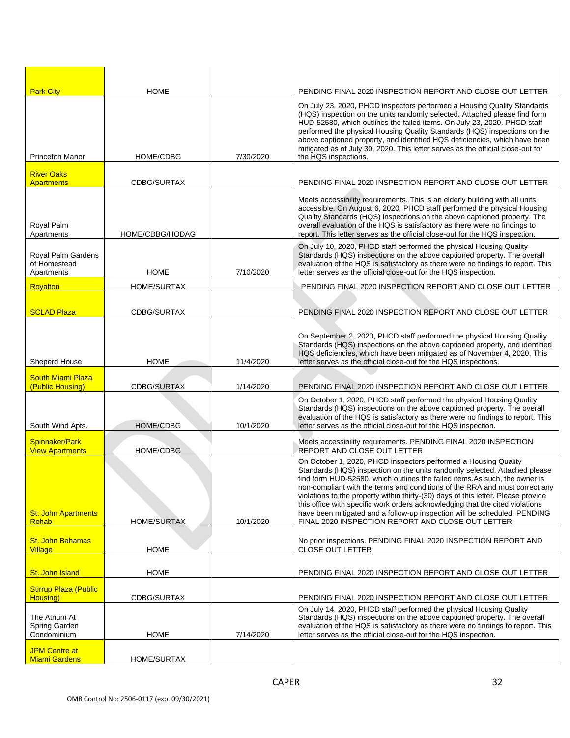| <b>Park City</b>                                 | <b>HOME</b>        |           | PENDING FINAL 2020 INSPECTION REPORT AND CLOSE OUT LETTER                                                                                                                                                                                                                                                                                                                                                                                                                                                                                                                                                          |
|--------------------------------------------------|--------------------|-----------|--------------------------------------------------------------------------------------------------------------------------------------------------------------------------------------------------------------------------------------------------------------------------------------------------------------------------------------------------------------------------------------------------------------------------------------------------------------------------------------------------------------------------------------------------------------------------------------------------------------------|
| <b>Princeton Manor</b>                           | HOME/CDBG          | 7/30/2020 | On July 23, 2020, PHCD inspectors performed a Housing Quality Standards<br>(HQS) inspection on the units randomly selected. Attached please find form<br>HUD-52580, which outlines the failed items. On July 23, 2020, PHCD staff<br>performed the physical Housing Quality Standards (HQS) inspections on the<br>above captioned property, and identified HQS deficiencies, which have been<br>mitigated as of July 30, 2020. This letter serves as the official close-out for<br>the HQS inspections.                                                                                                            |
| <b>River Oaks</b>                                |                    |           |                                                                                                                                                                                                                                                                                                                                                                                                                                                                                                                                                                                                                    |
| <b>Apartments</b>                                | CDBG/SURTAX        |           | PENDING FINAL 2020 INSPECTION REPORT AND CLOSE OUT LETTER                                                                                                                                                                                                                                                                                                                                                                                                                                                                                                                                                          |
| Royal Palm<br>Apartments                         | HOME/CDBG/HODAG    |           | Meets accessibility requirements. This is an elderly building with all units<br>accessible. On August 6, 2020, PHCD staff performed the physical Housing<br>Quality Standards (HQS) inspections on the above captioned property. The<br>overall evaluation of the HQS is satisfactory as there were no findings to<br>report. This letter serves as the official close-out for the HQS inspection.                                                                                                                                                                                                                 |
| Royal Palm Gardens<br>of Homestead<br>Apartments | <b>HOME</b>        | 7/10/2020 | On July 10, 2020, PHCD staff performed the physical Housing Quality<br>Standards (HQS) inspections on the above captioned property. The overall<br>evaluation of the HQS is satisfactory as there were no findings to report. This<br>letter serves as the official close-out for the HQS inspection.                                                                                                                                                                                                                                                                                                              |
| Royalton                                         | <b>HOME/SURTAX</b> |           | PENDING FINAL 2020 INSPECTION REPORT AND CLOSE OUT LETTER                                                                                                                                                                                                                                                                                                                                                                                                                                                                                                                                                          |
| <b>SCLAD Plaza</b>                               | CDBG/SURTAX        |           | PENDING FINAL 2020 INSPECTION REPORT AND CLOSE OUT LETTER                                                                                                                                                                                                                                                                                                                                                                                                                                                                                                                                                          |
| Sheperd House                                    | <b>HOME</b>        | 11/4/2020 | On September 2, 2020, PHCD staff performed the physical Housing Quality<br>Standards (HQS) inspections on the above captioned property, and identified<br>HQS deficiencies, which have been mitigated as of November 4, 2020. This<br>letter serves as the official close-out for the HQS inspections.                                                                                                                                                                                                                                                                                                             |
| <b>South Miami Plaza</b><br>(Public Housing)     | CDBG/SURTAX        | 1/14/2020 | PENDING FINAL 2020 INSPECTION REPORT AND CLOSE OUT LETTER                                                                                                                                                                                                                                                                                                                                                                                                                                                                                                                                                          |
| South Wind Apts.                                 | <b>HOME/CDBG</b>   | 10/1/2020 | On October 1, 2020, PHCD staff performed the physical Housing Quality<br>Standards (HQS) inspections on the above captioned property. The overall<br>evaluation of the HQS is satisfactory as there were no findings to report. This<br>letter serves as the official close-out for the HQS inspection.                                                                                                                                                                                                                                                                                                            |
| Spinnaker/Park<br><b>View Apartments</b>         | HOME/CDBG          |           | Meets accessibility requirements. PENDING FINAL 2020 INSPECTION<br>REPORT AND CLOSE OUT LETTER                                                                                                                                                                                                                                                                                                                                                                                                                                                                                                                     |
| <b>St. John Apartments</b><br><b>Rehab</b>       | <b>HOME/SURTAX</b> | 10/1/2020 | On October 1, 2020, PHCD inspectors performed a Housing Quality<br>Standards (HQS) inspection on the units randomly selected. Attached please<br>find form HUD-52580, which outlines the failed items.As such, the owner is<br>non-compliant with the terms and conditions of the RRA and must correct any<br>violations to the property within thirty-(30) days of this letter. Please provide<br>this office with specific work orders acknowledging that the cited violations<br>have been mitigated and a follow-up inspection will be scheduled. PENDING<br>FINAL 2020 INSPECTION REPORT AND CLOSE OUT LETTER |
| St. John Bahamas<br>Village                      | <b>HOME</b>        |           | No prior inspections. PENDING FINAL 2020 INSPECTION REPORT AND<br><b>CLOSE OUT LETTER</b>                                                                                                                                                                                                                                                                                                                                                                                                                                                                                                                          |
| St. John Island                                  | <b>HOME</b>        |           | PENDING FINAL 2020 INSPECTION REPORT AND CLOSE OUT LETTER                                                                                                                                                                                                                                                                                                                                                                                                                                                                                                                                                          |
| <b>Stirrup Plaza (Public</b><br>Housing)         | CDBG/SURTAX        |           | PENDING FINAL 2020 INSPECTION REPORT AND CLOSE OUT LETTER                                                                                                                                                                                                                                                                                                                                                                                                                                                                                                                                                          |
| The Atrium At<br>Spring Garden<br>Condominium    | HOME               | 7/14/2020 | On July 14, 2020, PHCD staff performed the physical Housing Quality<br>Standards (HQS) inspections on the above captioned property. The overall<br>evaluation of the HQS is satisfactory as there were no findings to report. This<br>letter serves as the official close-out for the HQS inspection.                                                                                                                                                                                                                                                                                                              |
| <b>JPM Centre at</b><br><b>Miami Gardens</b>     | HOME/SURTAX        |           |                                                                                                                                                                                                                                                                                                                                                                                                                                                                                                                                                                                                                    |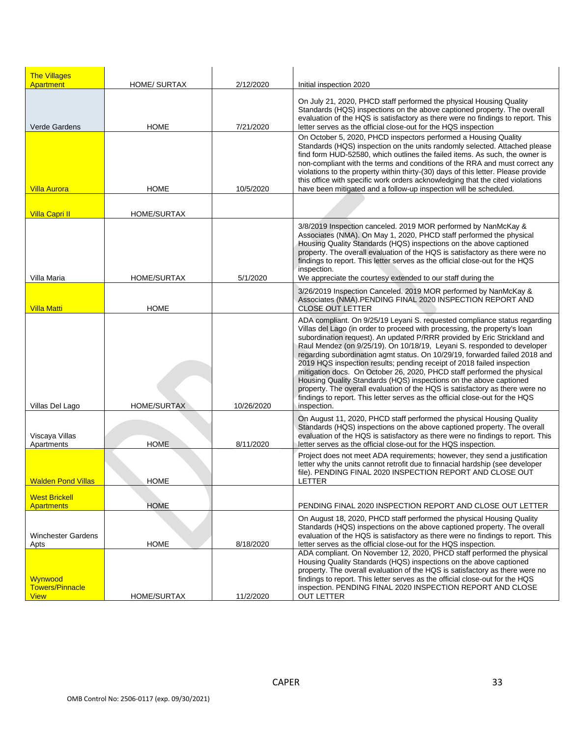| <b>The Villages</b><br><b>Apartment</b>          | <b>HOME/ SURTAX</b> | 2/12/2020  | Initial inspection 2020                                                                                                                                                                                                                                                                                                                                                                                                                                                                                                                                                                                                                                                                                                                                                                                |
|--------------------------------------------------|---------------------|------------|--------------------------------------------------------------------------------------------------------------------------------------------------------------------------------------------------------------------------------------------------------------------------------------------------------------------------------------------------------------------------------------------------------------------------------------------------------------------------------------------------------------------------------------------------------------------------------------------------------------------------------------------------------------------------------------------------------------------------------------------------------------------------------------------------------|
| Verde Gardens                                    | HOME                | 7/21/2020  | On July 21, 2020, PHCD staff performed the physical Housing Quality<br>Standards (HQS) inspections on the above captioned property. The overall<br>evaluation of the HQS is satisfactory as there were no findings to report. This<br>letter serves as the official close-out for the HQS inspection                                                                                                                                                                                                                                                                                                                                                                                                                                                                                                   |
| <u>Villa Aurora</u>                              | <b>HOME</b>         | 10/5/2020  | On October 5, 2020, PHCD inspectors performed a Housing Quality<br>Standards (HQS) inspection on the units randomly selected. Attached please<br>find form HUD-52580, which outlines the failed items. As such, the owner is<br>non-compliant with the terms and conditions of the RRA and must correct any<br>violations to the property within thirty-(30) days of this letter. Please provide<br>this office with specific work orders acknowledging that the cited violations<br>have been mitigated and a follow-up inspection will be scheduled.                                                                                                                                                                                                                                                 |
| <b>Villa Capri II</b>                            | <b>HOME/SURTAX</b>  |            |                                                                                                                                                                                                                                                                                                                                                                                                                                                                                                                                                                                                                                                                                                                                                                                                        |
| Villa Maria                                      | <b>HOME/SURTAX</b>  | 5/1/2020   | 3/8/2019 Inspection canceled. 2019 MOR performed by NanMcKay &<br>Associates (NMA). On May 1, 2020, PHCD staff performed the physical<br>Housing Quality Standards (HQS) inspections on the above captioned<br>property. The overall evaluation of the HQS is satisfactory as there were no<br>findings to report. This letter serves as the official close-out for the HQS<br>inspection.<br>We appreciate the courtesy extended to our staff during the                                                                                                                                                                                                                                                                                                                                              |
| <b>Villa Matti</b>                               | <b>HOME</b>         |            | 3/26/2019 Inspection Canceled. 2019 MOR performed by NanMcKay &<br>Associates (NMA). PENDING FINAL 2020 INSPECTION REPORT AND<br><b>CLOSE OUT LETTER</b>                                                                                                                                                                                                                                                                                                                                                                                                                                                                                                                                                                                                                                               |
| Villas Del Lago                                  | <b>HOME/SURTAX</b>  | 10/26/2020 | ADA compliant. On 9/25/19 Leyani S. requested compliance status regarding<br>Villas del Lago (in order to proceed with processing, the property's loan<br>subordination request). An updated P/RRR provided by Eric Strickland and<br>Raul Mendez (on 9/25/19). On 10/18/19, Leyani S. responded to developer<br>regarding subordination agmt status. On 10/29/19, forwarded failed 2018 and<br>2019 HQS inspection results; pending receipt of 2018 failed inspection<br>mitigation docs. On October 26, 2020, PHCD staff performed the physical<br>Housing Quality Standards (HQS) inspections on the above captioned<br>property. The overall evaluation of the HQS is satisfactory as there were no<br>findings to report. This letter serves as the official close-out for the HQS<br>inspection. |
| Viscaya Villas<br>Apartments                     | <b>HOME</b>         | 8/11/2020  | On August 11, 2020, PHCD staff performed the physical Housing Quality<br>Standards (HQS) inspections on the above captioned property. The overall<br>evaluation of the HQS is satisfactory as there were no findings to report. This<br>letter serves as the official close-out for the HQS inspection.                                                                                                                                                                                                                                                                                                                                                                                                                                                                                                |
| <b>Walden Pond Villas</b>                        | <b>HOME</b>         |            | Project does not meet ADA requirements; however, they send a justification<br>letter why the units cannot retrofit due to finnacial hardship (see developer<br>file). PENDING FINAL 2020 INSPECTION REPORT AND CLOSE OUT<br>LETTER                                                                                                                                                                                                                                                                                                                                                                                                                                                                                                                                                                     |
| <b>West Brickell</b><br><b>Apartments</b>        | <b>HOME</b>         |            | PENDING FINAL 2020 INSPECTION REPORT AND CLOSE OUT LETTER                                                                                                                                                                                                                                                                                                                                                                                                                                                                                                                                                                                                                                                                                                                                              |
| <b>Winchester Gardens</b><br>Apts                | <b>HOME</b>         | 8/18/2020  | On August 18, 2020, PHCD staff performed the physical Housing Quality<br>Standards (HQS) inspections on the above captioned property. The overall<br>evaluation of the HQS is satisfactory as there were no findings to report. This<br>letter serves as the official close-out for the HQS inspection.                                                                                                                                                                                                                                                                                                                                                                                                                                                                                                |
| Wynwood<br><b>Towers/Pinnacle</b><br><b>View</b> | HOME/SURTAX         | 11/2/2020  | ADA compliant. On November 12, 2020, PHCD staff performed the physical<br>Housing Quality Standards (HQS) inspections on the above captioned<br>property. The overall evaluation of the HQS is satisfactory as there were no<br>findings to report. This letter serves as the official close-out for the HQS<br>inspection. PENDING FINAL 2020 INSPECTION REPORT AND CLOSE<br><b>OUT LETTER</b>                                                                                                                                                                                                                                                                                                                                                                                                        |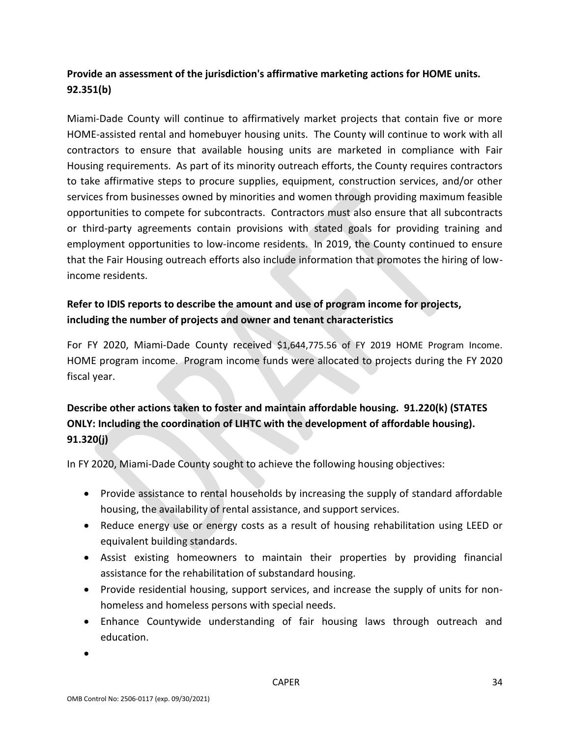# **Provide an assessment of the jurisdiction's affirmative marketing actions for HOME units. 92.351(b)**

Miami-Dade County will continue to affirmatively market projects that contain five or more HOME-assisted rental and homebuyer housing units. The County will continue to work with all contractors to ensure that available housing units are marketed in compliance with Fair Housing requirements. As part of its minority outreach efforts, the County requires contractors to take affirmative steps to procure supplies, equipment, construction services, and/or other services from businesses owned by minorities and women through providing maximum feasible opportunities to compete for subcontracts. Contractors must also ensure that all subcontracts or third-party agreements contain provisions with stated goals for providing training and employment opportunities to low-income residents. In 2019, the County continued to ensure that the Fair Housing outreach efforts also include information that promotes the hiring of lowincome residents.

# **Refer to IDIS reports to describe the amount and use of program income for projects, including the number of projects and owner and tenant characteristics**

For FY 2020, Miami-Dade County received \$1,644,775.56 of FY 2019 HOME Program Income. HOME program income. Program income funds were allocated to projects during the FY 2020 fiscal year.

# **Describe other actions taken to foster and maintain affordable housing. 91.220(k) (STATES ONLY: Including the coordination of LIHTC with the development of affordable housing). 91.320(j)**

In FY 2020, Miami-Dade County sought to achieve the following housing objectives:

- Provide assistance to rental households by increasing the supply of standard affordable housing, the availability of rental assistance, and support services.
- Reduce energy use or energy costs as a result of housing rehabilitation using LEED or equivalent building standards.
- Assist existing homeowners to maintain their properties by providing financial assistance for the rehabilitation of substandard housing.
- Provide residential housing, support services, and increase the supply of units for nonhomeless and homeless persons with special needs.
- Enhance Countywide understanding of fair housing laws through outreach and education.

•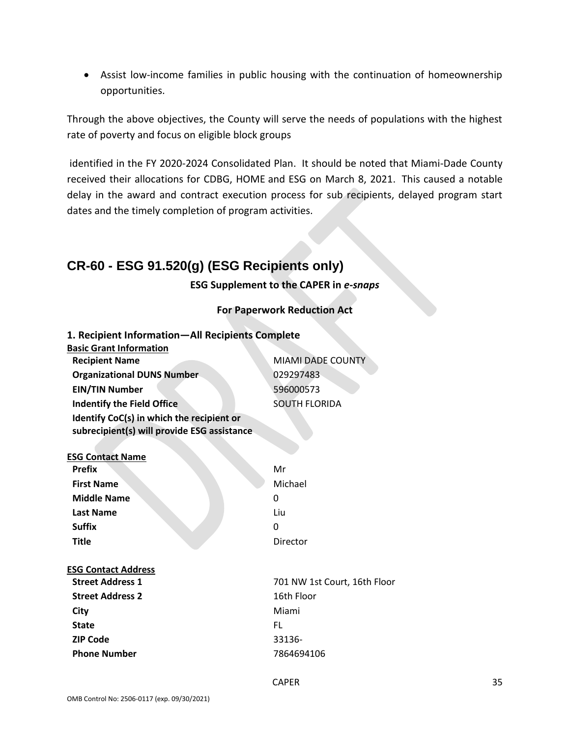• Assist low-income families in public housing with the continuation of homeownership opportunities.

Through the above objectives, the County will serve the needs of populations with the highest rate of poverty and focus on eligible block groups

identified in the FY 2020-2024 Consolidated Plan. It should be noted that Miami-Dade County received their allocations for CDBG, HOME and ESG on March 8, 2021. This caused a notable delay in the award and contract execution process for sub recipients, delayed program start dates and the timely completion of program activities.

# **CR-60 - ESG 91.520(g) (ESG Recipients only)**

**ESG Supplement to the CAPER in** *e-snaps*

### **For Paperwork Reduction Act**

| 1. Recipient Information-All Recipients Complete |                              |
|--------------------------------------------------|------------------------------|
| <b>Basic Grant Information</b>                   |                              |
| <b>Recipient Name</b>                            | <b>MIAMI DADE COUNTY</b>     |
| <b>Organizational DUNS Number</b>                | 029297483                    |
| <b>EIN/TIN Number</b>                            | 596000573                    |
| <b>Indentify the Field Office</b>                | <b>SOUTH FLORIDA</b>         |
| Identify CoC(s) in which the recipient or        |                              |
| subrecipient(s) will provide ESG assistance      |                              |
|                                                  |                              |
| <b>ESG Contact Name</b>                          |                              |
| <b>Prefix</b>                                    | Mr                           |
| <b>First Name</b>                                | Michael                      |
| <b>Middle Name</b>                               | 0                            |
| <b>Last Name</b>                                 | Liu                          |
| <b>Suffix</b>                                    | 0                            |
| <b>Title</b>                                     | Director                     |
| <b>ESG Contact Address</b>                       |                              |
| <b>Street Address 1</b>                          | 701 NW 1st Court, 16th Floor |
| <b>Street Address 2</b>                          | 16th Floor                   |
| City                                             | Miami                        |
| <b>State</b>                                     | FL.                          |
| <b>ZIP Code</b>                                  | 33136-                       |
| <b>Phone Number</b>                              | 7864694106                   |
|                                                  |                              |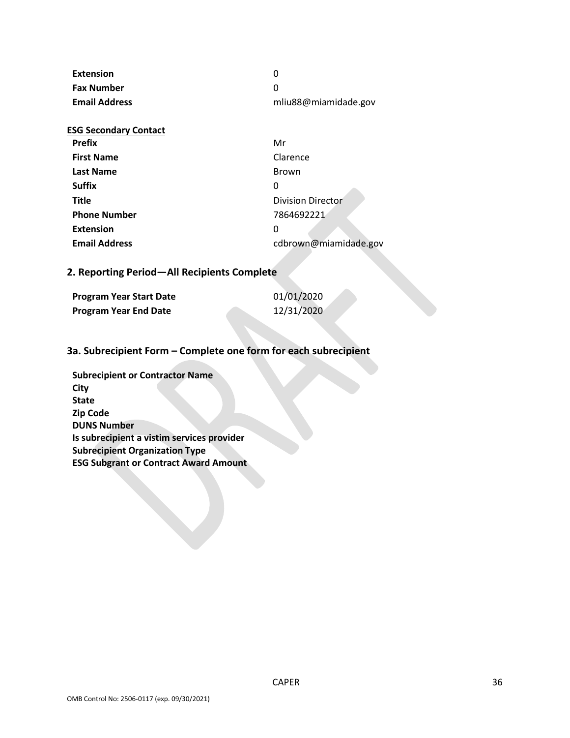| Extension            |                      |
|----------------------|----------------------|
| <b>Fax Number</b>    |                      |
| <b>Email Address</b> | mliu88@miamidade.gov |

| Mr                       |
|--------------------------|
| Clarence                 |
| <b>Brown</b>             |
| 0                        |
| <b>Division Director</b> |
| 7864692221               |
| 0                        |
| cdbrown@miamidade.gov    |
|                          |

## **2. Reporting Period—All Recipients Complete**

| <b>Program Year Start Date</b> | 01/01/2020 |  |
|--------------------------------|------------|--|
| <b>Program Year End Date</b>   | 12/31/2020 |  |

## **3a. Subrecipient Form – Complete one form for each subrecipient**

**Subrecipient or Contractor Name City State Zip Code DUNS Number Is subrecipient a vistim services provider Subrecipient Organization Type ESG Subgrant or Contract Award Amount**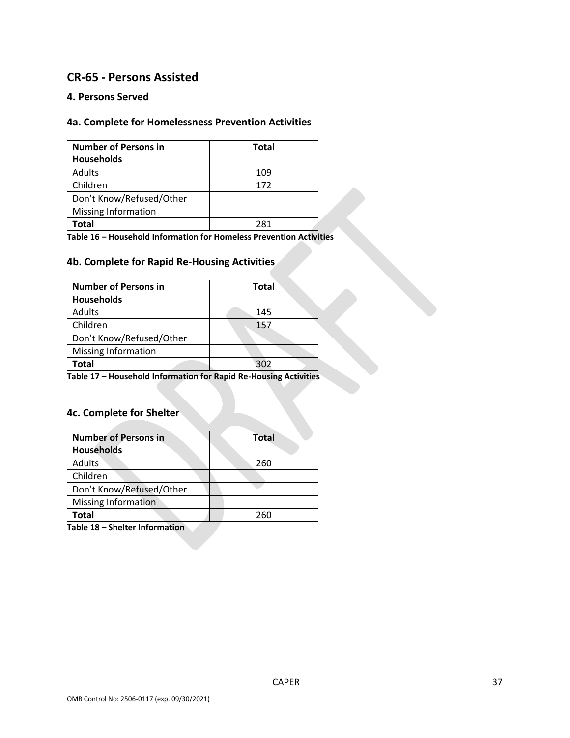# **CR-65 - Persons Assisted**

### **4. Persons Served**

## **4a. Complete for Homelessness Prevention Activities**

| <b>Number of Persons in</b> | Total |  |
|-----------------------------|-------|--|
| <b>Households</b>           |       |  |
| Adults                      | 109   |  |
| Children                    | 172   |  |
| Don't Know/Refused/Other    |       |  |
| <b>Missing Information</b>  |       |  |
| <b>Total</b>                | 281   |  |

**Table 16 – Household Information for Homeless Prevention Activities**

## **4b. Complete for Rapid Re-Housing Activities**

| <b>Number of Persons in</b><br><b>Total</b> |     |
|---------------------------------------------|-----|
| <b>Households</b>                           |     |
| Adults                                      | 145 |
| Children                                    | 157 |
| Don't Know/Refused/Other                    |     |
| Missing Information                         |     |
| Total                                       | 302 |

**Table 17 – Household Information for Rapid Re-Housing Activities**

## **4c. Complete for Shelter**

| <b>Number of Persons in</b> | Total |  |  |
|-----------------------------|-------|--|--|
| <b>Households</b>           |       |  |  |
| <b>Adults</b>               | 260   |  |  |
| Children                    |       |  |  |
| Don't Know/Refused/Other    |       |  |  |
| <b>Missing Information</b>  |       |  |  |
| Total                       | 260   |  |  |

**Table 18 – Shelter Information**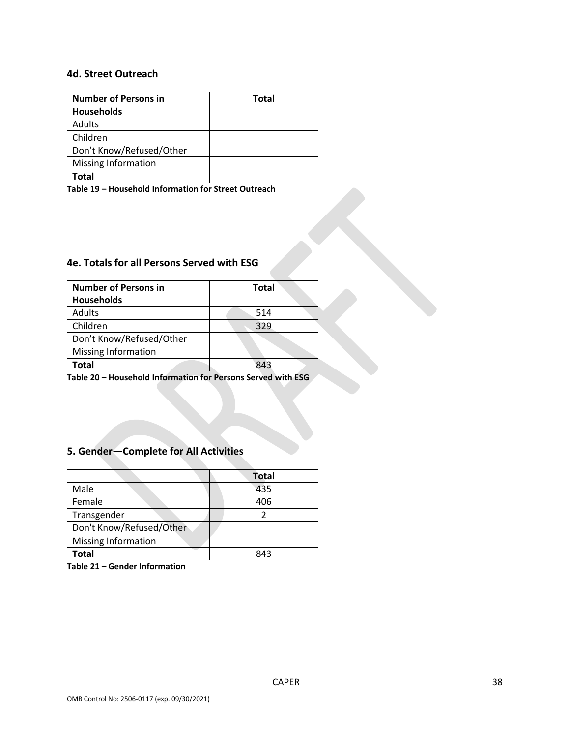### **4d. Street Outreach**

| <b>Number of Persons in</b> | <b>Total</b> |
|-----------------------------|--------------|
| <b>Households</b>           |              |
| Adults                      |              |
| Children                    |              |
| Don't Know/Refused/Other    |              |
| <b>Missing Information</b>  |              |
| Total                       |              |

**Table 19 – Household Information for Street Outreach** 

# **4e. Totals for all Persons Served with ESG**

| <b>Number of Persons in</b> | <b>Total</b> |
|-----------------------------|--------------|
| <b>Households</b>           |              |
| <b>Adults</b>               | 514          |
| Children                    | 329          |
| Don't Know/Refused/Other    |              |
| Missing Information         |              |
| Total                       | 843          |

**Table 20 – Household Information for Persons Served with ESG**

## **5. Gender—Complete for All Activities**

| <b>Total</b> |
|--------------|
| 435          |
| 406          |
|              |
|              |
|              |
| 843          |
|              |

**Table 21 – Gender Information**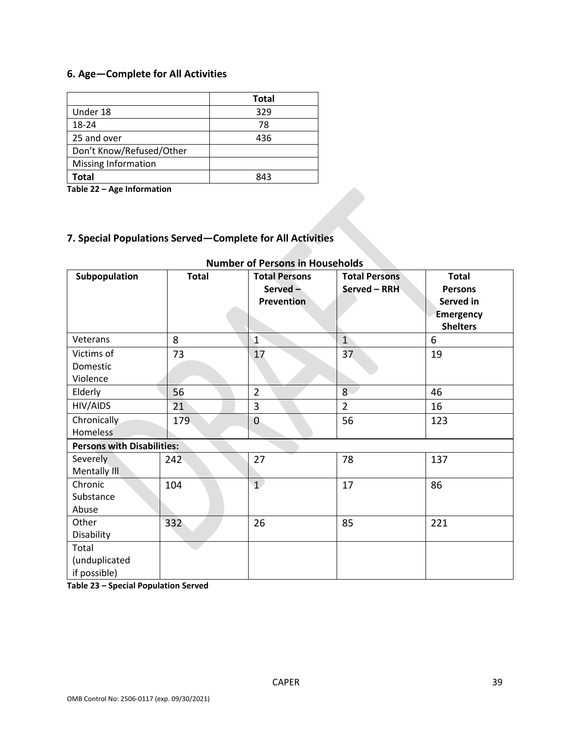# **6. Age—Complete for All Activities**

|                          | <b>Total</b> |
|--------------------------|--------------|
| Under 18                 | 329          |
| 18-24                    | 78           |
| 25 and over              | 436          |
| Don't Know/Refused/Other |              |
| Missing Information      |              |
| <b>Total</b>             | 843          |

**Table 22 – Age Information**

# **7. Special Populations Served—Complete for All Activities**

| Subpopulation                          | <b>Total</b> | <b>Total Persons</b><br>Served $-$<br><b>Prevention</b> | <b>Total Persons</b><br>Served - RRH | <b>Total</b><br><b>Persons</b><br>Served in<br><b>Emergency</b><br><b>Shelters</b> |
|----------------------------------------|--------------|---------------------------------------------------------|--------------------------------------|------------------------------------------------------------------------------------|
| Veterans                               | 8            | $\mathbf{1}$                                            | $\overline{1}$                       | 6                                                                                  |
| Victims of<br>Domestic<br>Violence     | 73           | 17                                                      | 37                                   | 19                                                                                 |
| Elderly                                | 56           | $\overline{2}$                                          | 8 <sup>°</sup>                       | 46                                                                                 |
| HIV/AIDS                               | 21           | 3                                                       | $\overline{2}$                       | 16                                                                                 |
| Chronically<br><b>Homeless</b>         | 179          | $\mathbf{0}$                                            | 56                                   | 123                                                                                |
| <b>Persons with Disabilities:</b>      |              |                                                         |                                      |                                                                                    |
| Severely<br>Mentally III               | 242          | 27                                                      | 78                                   | 137                                                                                |
| Chronic<br>Substance<br>Abuse          | 104          | $\mathbf{1}^{\prime}$                                   | 17                                   | 86                                                                                 |
| Other<br>Disability                    | 332          | 26                                                      | 85                                   | 221                                                                                |
| Total<br>(unduplicated<br>if possible) |              |                                                         |                                      |                                                                                    |

## **Number of Persons in Households**

**Table 23 – Special Population Served**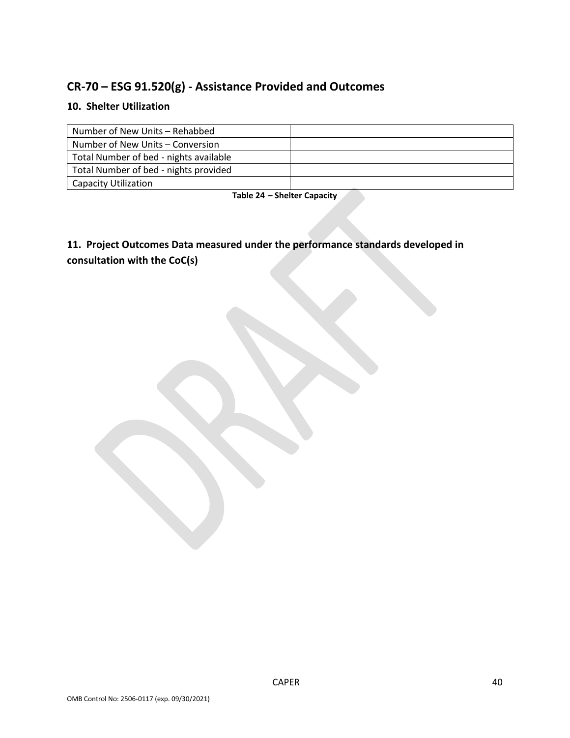# **CR-70 – ESG 91.520(g) - Assistance Provided and Outcomes**

# **10. Shelter Utilization**

| Number of New Units - Rehabbed         |  |
|----------------------------------------|--|
| Number of New Units – Conversion       |  |
| Total Number of bed - nights available |  |
| Total Number of bed - nights provided  |  |
| Capacity Utilization                   |  |

**Table 24 – Shelter Capacity**

**11. Project Outcomes Data measured under the performance standards developed in consultation with the CoC(s)**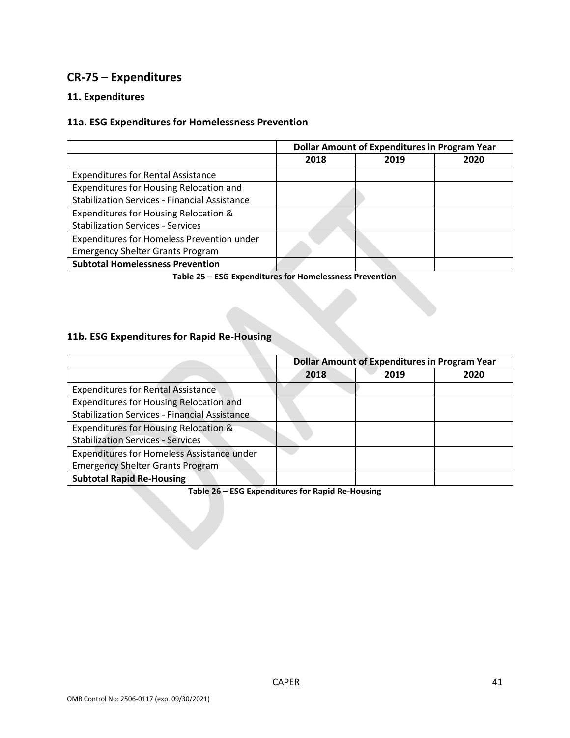# **CR-75 – Expenditures**

### **11. Expenditures**

## **11a. ESG Expenditures for Homelessness Prevention**

|                                                      | <b>Dollar Amount of Expenditures in Program Year</b> |      |      |
|------------------------------------------------------|------------------------------------------------------|------|------|
|                                                      | 2018                                                 | 2019 | 2020 |
| <b>Expenditures for Rental Assistance</b>            |                                                      |      |      |
| Expenditures for Housing Relocation and              |                                                      |      |      |
| <b>Stabilization Services - Financial Assistance</b> |                                                      |      |      |
| Expenditures for Housing Relocation &                |                                                      |      |      |
| <b>Stabilization Services - Services</b>             |                                                      |      |      |
| Expenditures for Homeless Prevention under           |                                                      |      |      |
| <b>Emergency Shelter Grants Program</b>              |                                                      |      |      |
| <b>Subtotal Homelessness Prevention</b>              |                                                      |      |      |

**Table 25 – ESG Expenditures for Homelessness Prevention**

## **11b. ESG Expenditures for Rapid Re-Housing**

|                                                      | <b>Dollar Amount of Expenditures in Program Year</b> |      |      |
|------------------------------------------------------|------------------------------------------------------|------|------|
|                                                      | 2018                                                 | 2019 | 2020 |
| <b>Expenditures for Rental Assistance</b>            |                                                      |      |      |
| Expenditures for Housing Relocation and              |                                                      |      |      |
| <b>Stabilization Services - Financial Assistance</b> |                                                      |      |      |
| Expenditures for Housing Relocation &                |                                                      |      |      |
| <b>Stabilization Services - Services</b>             |                                                      |      |      |
| Expenditures for Homeless Assistance under           |                                                      |      |      |
| <b>Emergency Shelter Grants Program</b>              |                                                      |      |      |
| <b>Subtotal Rapid Re-Housing</b>                     |                                                      |      |      |

**Table 26 – ESG Expenditures for Rapid Re-Housing**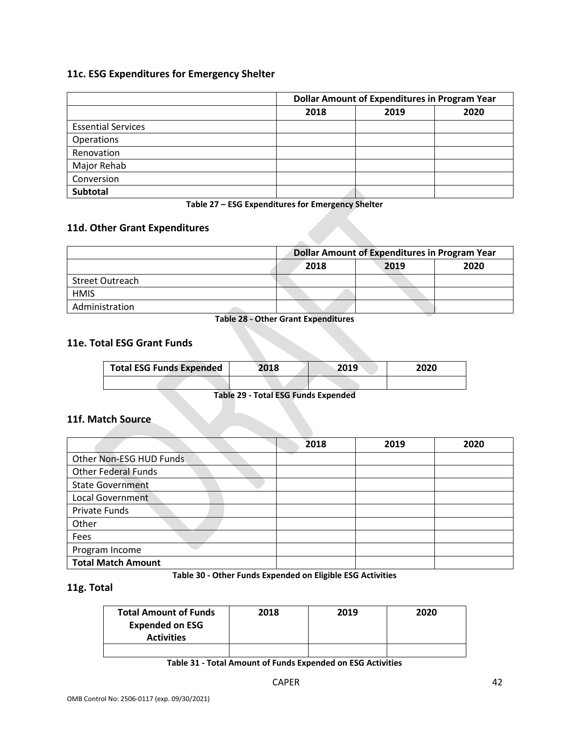## **11c. ESG Expenditures for Emergency Shelter**

|                           | <b>Dollar Amount of Expenditures in Program Year</b> |      |      |
|---------------------------|------------------------------------------------------|------|------|
|                           | 2018                                                 | 2019 | 2020 |
| <b>Essential Services</b> |                                                      |      |      |
| Operations                |                                                      |      |      |
| Renovation                |                                                      |      |      |
| Major Rehab               |                                                      |      |      |
| Conversion                |                                                      |      |      |
| <b>Subtotal</b>           |                                                      |      |      |

**Table 27 – ESG Expenditures for Emergency Shelter**

## **11d. Other Grant Expenditures**

|                 | <b>Dollar Amount of Expenditures in Program Year</b> |  |  |
|-----------------|------------------------------------------------------|--|--|
|                 | 2018<br>2020<br>2019                                 |  |  |
| Street Outreach |                                                      |  |  |
| <b>HMIS</b>     |                                                      |  |  |
| Administration  |                                                      |  |  |

**Table 28 - Other Grant Expenditures**

### **11e. Total ESG Grant Funds**

| <b>Total ESG Funds Expended</b> | 2018 | 2019 | 2020 |
|---------------------------------|------|------|------|
|                                 |      |      |      |

**Table 29 - Total ESG Funds Expended**

#### **11f. Match Source**

|                            | 2018 | 2019 | 2020 |
|----------------------------|------|------|------|
| Other Non-ESG HUD Funds    |      |      |      |
| <b>Other Federal Funds</b> |      |      |      |
| <b>State Government</b>    |      |      |      |
| <b>Local Government</b>    |      |      |      |
| Private Funds              |      |      |      |
| Other                      |      |      |      |
| Fees                       |      |      |      |
| Program Income             |      |      |      |
| <b>Total Match Amount</b>  |      |      |      |

**Table 30 - Other Funds Expended on Eligible ESG Activities**

### **11g. Total**

| <b>Total Amount of Funds</b><br><b>Expended on ESG</b> | 2018 | 2019 | 2020 |
|--------------------------------------------------------|------|------|------|
| <b>Activities</b>                                      |      |      |      |
|                                                        |      |      |      |

**Table 31 - Total Amount of Funds Expended on ESG Activities**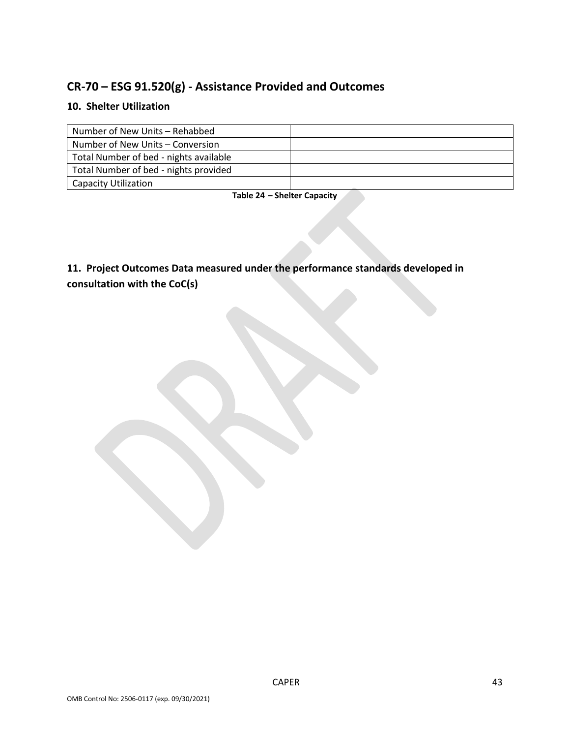# **CR-70 – ESG 91.520(g) - Assistance Provided and Outcomes**

## **10. Shelter Utilization**

| Number of New Units - Rehabbed         |  |
|----------------------------------------|--|
| Number of New Units – Conversion       |  |
| Total Number of bed - nights available |  |
| Total Number of bed - nights provided  |  |
| Capacity Utilization                   |  |

#### **Table 24 – Shelter Capacity**

**11. Project Outcomes Data measured under the performance standards developed in consultation with the CoC(s)**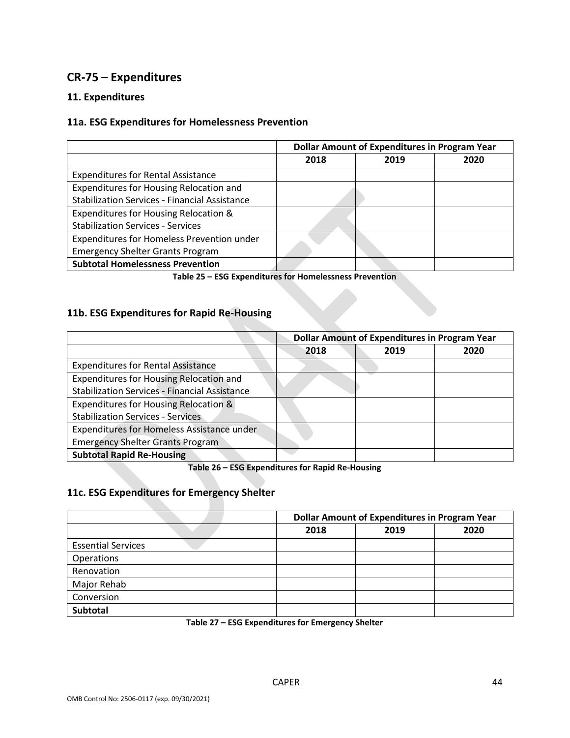# **CR-75 – Expenditures**

## **11. Expenditures**

### **11a. ESG Expenditures for Homelessness Prevention**

|                                                      | <b>Dollar Amount of Expenditures in Program Year</b> |      |      |
|------------------------------------------------------|------------------------------------------------------|------|------|
|                                                      | 2018                                                 | 2019 | 2020 |
| <b>Expenditures for Rental Assistance</b>            |                                                      |      |      |
| Expenditures for Housing Relocation and              |                                                      |      |      |
| <b>Stabilization Services - Financial Assistance</b> |                                                      |      |      |
| Expenditures for Housing Relocation &                |                                                      |      |      |
| <b>Stabilization Services - Services</b>             |                                                      |      |      |
| Expenditures for Homeless Prevention under           |                                                      |      |      |
| <b>Emergency Shelter Grants Program</b>              |                                                      |      |      |
| <b>Subtotal Homelessness Prevention</b>              |                                                      |      |      |

**Table 25 – ESG Expenditures for Homelessness Prevention**

### **11b. ESG Expenditures for Rapid Re-Housing**

|                                                      | <b>Dollar Amount of Expenditures in Program Year</b> |      |      |
|------------------------------------------------------|------------------------------------------------------|------|------|
|                                                      | 2018                                                 | 2019 | 2020 |
| <b>Expenditures for Rental Assistance</b>            |                                                      |      |      |
| Expenditures for Housing Relocation and              |                                                      |      |      |
| <b>Stabilization Services - Financial Assistance</b> |                                                      |      |      |
| Expenditures for Housing Relocation &                |                                                      |      |      |
| <b>Stabilization Services - Services</b>             |                                                      |      |      |
| Expenditures for Homeless Assistance under           |                                                      |      |      |
| <b>Emergency Shelter Grants Program</b>              |                                                      |      |      |
| <b>Subtotal Rapid Re-Housing</b>                     |                                                      |      |      |

**Table 26 – ESG Expenditures for Rapid Re-Housing**

## **11c. ESG Expenditures for Emergency Shelter**

|                           | <b>Dollar Amount of Expenditures in Program Year</b> |      |      |
|---------------------------|------------------------------------------------------|------|------|
|                           | 2018                                                 | 2019 | 2020 |
| <b>Essential Services</b> |                                                      |      |      |
| <b>Operations</b>         |                                                      |      |      |
| Renovation                |                                                      |      |      |
| Major Rehab               |                                                      |      |      |
| Conversion                |                                                      |      |      |
| <b>Subtotal</b>           |                                                      |      |      |

**Table 27 – ESG Expenditures for Emergency Shelter**